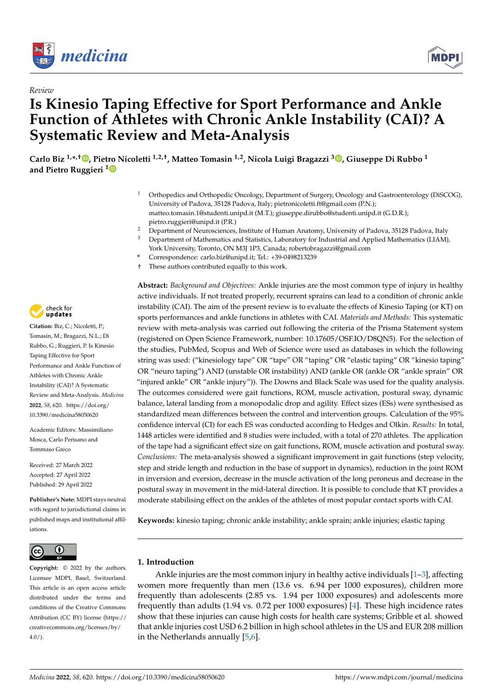

*Review*



# **Is Kinesio Taping Effective for Sport Performance and Ankle Function of Athletes with Chronic Ankle Instability (CAI)? A Systematic Review and Meta-Analysis**

**Carlo Biz 1,\* ,† [,](https://orcid.org/0000-0001-8517-0057) Piet[ro](https://orcid.org/0000-0001-9617-9882) Nicoletti 1,2,†, Matteo Tomasin 1,2, Nicola Luigi Bragazzi [3](https://orcid.org/0000-0001-8409-868X) , Giuseppe Di Rubbo <sup>1</sup> and Pietro Ruggieri <sup>1</sup>**

- <sup>1</sup> Orthopedics and Orthopedic Oncology, Department of Surgery, Oncology and Gastroenterology (DiSCOG), University of Padova, 35128 Padova, Italy; pietronicoletti.ft@gmail.com (P.N.); matteo.tomasin.1@studenti.unipd.it (M.T.); giuseppe.dirubbo@studenti.unipd.it (G.D.R.); pietro.ruggieri@unipd.it (P.R.)
- <sup>2</sup> Department of Neurosciences, Institute of Human Anatomy, University of Padova, 35128 Padova, Italy<br><sup>3</sup> Department of Mathematics and Statistics, I abaratomy for Industrial and Annlied Mathematics (JJAM)
	- <sup>3</sup> Department of Mathematics and Statistics, Laboratory for Industrial and Applied Mathematics (LIAM),
- York University, Toronto, ON M3J 1P3, Canada; robertobragazzi@gmail.com **\*** Correspondence: carlo.biz@unipd.it; Tel.: +39-0498213239
- 
- † These authors contributed equally to this work.

**Abstract:** *Background and Objectives:* Ankle injuries are the most common type of injury in healthy active individuals. If not treated properly, recurrent sprains can lead to a condition of chronic ankle instability (CAI). The aim of the present review is to evaluate the effects of Kinesio Taping (or KT) on sports performances and ankle functions in athletes with CAI. *Materials and Methods:* This systematic review with meta-analysis was carried out following the criteria of the Prisma Statement system (registered on Open Science Framework, number: 10.17605/OSF.IO/D8QN5). For the selection of the studies, PubMed, Scopus and Web of Science were used as databases in which the following string was used: ("kinesiology tape" OR "tape" OR "taping" OR "elastic taping" OR "kinesio taping" OR "neuro taping") AND (unstable OR instability) AND (ankle OR (ankle OR "ankle sprain" OR "injured ankle" OR "ankle injury")). The Downs and Black Scale was used for the quality analysis. The outcomes considered were gait functions, ROM, muscle activation, postural sway, dynamic balance, lateral landing from a monopodalic drop and agility. Effect sizes (ESs) were synthesised as standardized mean differences between the control and intervention groups. Calculation of the 95% confidence interval (CI) for each ES was conducted according to Hedges and Olkin. *Results:* In total, 1448 articles were identified and 8 studies were included, with a total of 270 athletes. The application of the tape had a significant effect size on gait functions, ROM, muscle activation and postural sway. *Conclusions:* The meta-analysis showed a significant improvement in gait functions (step velocity, step and stride length and reduction in the base of support in dynamics), reduction in the joint ROM in inversion and eversion, decrease in the muscle activation of the long peroneus and decrease in the postural sway in movement in the mid-lateral direction. It is possible to conclude that KT provides a moderate stabilising effect on the ankles of the athletes of most popular contact sports with CAI.

**Keywords:** kinesio taping; chronic ankle instability; ankle sprain; ankle injuries; elastic taping

# **1. Introduction**

Ankle injuries are the most common injury in healthy active individuals [\[1](#page-11-0)[–3\]](#page-11-1), affecting women more frequently than men (13.6 vs. 6.94 per 1000 exposures), children more frequently than adolescents (2.85 vs. 1.94 per 1000 exposures) and adolescents more frequently than adults (1.94 vs. 0.72 per 1000 exposures) [\[4\]](#page-11-2). These high incidence rates show that these injuries can cause high costs for health care systems; Gribble et al. showed that ankle injuries cost USD 6.2 billion in high school athletes in the US and EUR 208 million in the Netherlands annually [\[5](#page-11-3)[,6\]](#page-11-4).



**Citation:** Biz, C.; Nicoletti, P.; Tomasin, M.; Bragazzi, N.L.; Di Rubbo, G.; Ruggieri, P. Is Kinesio Taping Effective for Sport Performance and Ankle Function of Athletes with Chronic Ankle Instability (CAI)? A Systematic Review and Meta-Analysis. *Medicina* **2022**, *58*, 620. [https://doi.org/](https://doi.org/10.3390/medicina58050620) [10.3390/medicina58050620](https://doi.org/10.3390/medicina58050620) **Example 12.1 and Solution Configuration**<br>
Review<br>
Review<br>
Review<br>
Review<br>
Carlo Biz<sup>1,\*\*,†</sup>**©**, Pietro Nicoletti<sup>11</sup><br>
and Pietro Ruggieri<sup>11</sup><br>
Carlo Biz<sup>1,\*,\*†</sup>**©**, Pietro Nicoletti<sup>11</sup><br>
and Pietro Ruggieri<sup>11</sup><br>
<sup>1</sup> O<sub>U</sub>

Academic Editors: Massimiliano Mosca, Carlo Perisano and Tommaso Greco

Received: 27 March 2022 Accepted: 27 April 2022 Published: 29 April 2022

**Publisher's Note:** MDPI stays neutral with regard to jurisdictional claims in published maps and institutional affiliations.



**Copyright:** © 2022 by the authors. Licensee MDPI, Basel, Switzerland. This article is an open access article distributed under the terms and conditions of the Creative Commons Attribution (CC BY) license [\(https://](https://creativecommons.org/licenses/by/4.0/) [creativecommons.org/licenses/by/](https://creativecommons.org/licenses/by/4.0/)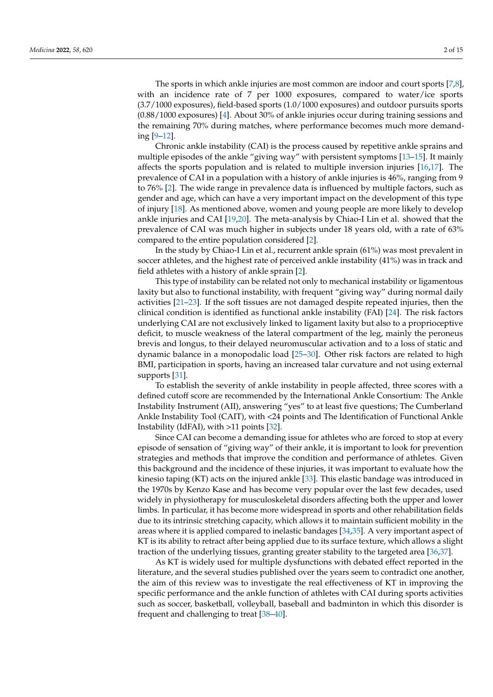The sports in which ankle injuries are most common are indoor and court sports [\[7](#page-11-5)[,8\]](#page-11-6), with an incidence rate of 7 per 1000 exposures, compared to water/ice sports (3.7/1000 exposures), field-based sports (1.0/1000 exposures) and outdoor pursuits sports (0.88/1000 exposures) [\[4\]](#page-11-2). About 30% of ankle injuries occur during training sessions and the remaining 70% during matches, where performance becomes much more demanding [\[9](#page-11-7)[–12\]](#page-11-8).

Chronic ankle instability (CAI) is the process caused by repetitive ankle sprains and multiple episodes of the ankle "giving way" with persistent symptoms [\[13–](#page-11-9)[15\]](#page-11-10). It mainly affects the sports population and is related to multiple inversion injuries [\[16,](#page-11-11)[17\]](#page-12-0). The prevalence of CAI in a population with a history of ankle injuries is 46%, ranging from 9 to 76% [\[2\]](#page-11-12). The wide range in prevalence data is influenced by multiple factors, such as gender and age, which can have a very important impact on the development of this type of injury [\[18\]](#page-12-1). As mentioned above, women and young people are more likely to develop ankle injuries and CAI [\[19](#page-12-2)[,20\]](#page-12-3). The meta-analysis by Chiao-I Lin et al. showed that the prevalence of CAI was much higher in subjects under 18 years old, with a rate of 63% compared to the entire population considered [\[2\]](#page-11-12).

In the study by Chiao-I Lin et al., recurrent ankle sprain (61%) was most prevalent in soccer athletes, and the highest rate of perceived ankle instability (41%) was in track and field athletes with a history of ankle sprain [\[2\]](#page-11-12).

This type of instability can be related not only to mechanical instability or ligamentous laxity but also to functional instability, with frequent "giving way" during normal daily activities [\[21–](#page-12-4)[23\]](#page-12-5). If the soft tissues are not damaged despite repeated injuries, then the clinical condition is identified as functional ankle instability (FAI) [\[24\]](#page-12-6). The risk factors underlying CAI are not exclusively linked to ligament laxity but also to a proprioceptive deficit, to muscle weakness of the lateral compartment of the leg, mainly the peroneus brevis and longus, to their delayed neuromuscular activation and to a loss of static and dynamic balance in a monopodalic load [\[25–](#page-12-7)[30\]](#page-12-8). Other risk factors are related to high BMI, participation in sports, having an increased talar curvature and not using external supports [\[31\]](#page-12-9).

To establish the severity of ankle instability in people affected, three scores with a defined cutoff score are recommended by the International Ankle Consortium: The Ankle Instability Instrument (AII), answering "yes" to at least five questions; The Cumberland Ankle Instability Tool (CAIT), with <24 points and The Identification of Functional Ankle Instability (IdFAI), with >11 points [\[32\]](#page-12-10).

Since CAI can become a demanding issue for athletes who are forced to stop at every episode of sensation of "giving way" of their ankle, it is important to look for prevention strategies and methods that improve the condition and performance of athletes. Given this background and the incidence of these injuries, it was important to evaluate how the kinesio taping (KT) acts on the injured ankle [\[33\]](#page-12-11). This elastic bandage was introduced in the 1970s by Kenzo Kase and has become very popular over the last few decades, used widely in physiotherapy for musculoskeletal disorders affecting both the upper and lower limbs. In particular, it has become more widespread in sports and other rehabilitation fields due to its intrinsic stretching capacity, which allows it to maintain sufficient mobility in the areas where it is applied compared to inelastic bandages [\[34,](#page-12-12)[35\]](#page-12-13). A very important aspect of KT is its ability to retract after being applied due to its surface texture, which allows a slight traction of the underlying tissues, granting greater stability to the targeted area [\[36,](#page-12-14)[37\]](#page-12-15).

As KT is widely used for multiple dysfunctions with debated effect reported in the literature, and the several studies published over the years seem to contradict one another, the aim of this review was to investigate the real effectiveness of KT in improving the specific performance and the ankle function of athletes with CAI during sports activities such as soccer, basketball, volleyball, baseball and badminton in which this disorder is frequent and challenging to treat [\[38](#page-12-16)[–40\]](#page-12-17).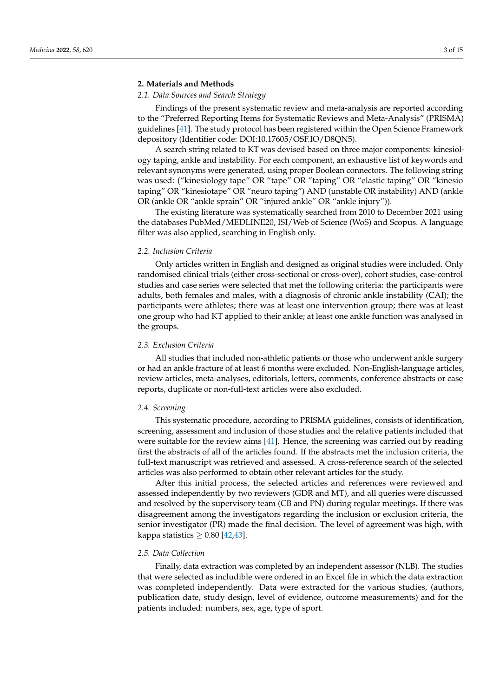# **2. Materials and Methods**

# *2.1. Data Sources and Search Strategy*

Findings of the present systematic review and meta-analysis are reported according to the "Preferred Reporting Items for Systematic Reviews and Meta-Analysis" (PRISMA) guidelines [\[41\]](#page-12-18). The study protocol has been registered within the Open Science Framework depository (Identifier code: DOI:10.17605/OSF.IO/D8QN5).

A search string related to KT was devised based on three major components: kinesiology taping, ankle and instability. For each component, an exhaustive list of keywords and relevant synonyms were generated, using proper Boolean connectors. The following string was used: ("kinesiology tape" OR "tape" OR "taping" OR "elastic taping" OR "kinesio taping" OR "kinesiotape" OR "neuro taping") AND (unstable OR instability) AND (ankle OR (ankle OR "ankle sprain" OR "injured ankle" OR "ankle injury")).

The existing literature was systematically searched from 2010 to December 2021 using the databases PubMed/MEDLINE20, ISI/Web of Science (WoS) and Scopus. A language filter was also applied, searching in English only.

# *2.2. Inclusion Criteria*

Only articles written in English and designed as original studies were included. Only randomised clinical trials (either cross-sectional or cross-over), cohort studies, case-control studies and case series were selected that met the following criteria: the participants were adults, both females and males, with a diagnosis of chronic ankle instability (CAI); the participants were athletes; there was at least one intervention group; there was at least one group who had KT applied to their ankle; at least one ankle function was analysed in the groups.

#### *2.3. Exclusion Criteria*

All studies that included non-athletic patients or those who underwent ankle surgery or had an ankle fracture of at least 6 months were excluded. Non-English-language articles, review articles, meta-analyses, editorials, letters, comments, conference abstracts or case reports, duplicate or non-full-text articles were also excluded.

#### *2.4. Screening*

This systematic procedure, according to PRISMA guidelines, consists of identification, screening, assessment and inclusion of those studies and the relative patients included that were suitable for the review aims [\[41\]](#page-12-18). Hence, the screening was carried out by reading first the abstracts of all of the articles found. If the abstracts met the inclusion criteria, the full-text manuscript was retrieved and assessed. A cross-reference search of the selected articles was also performed to obtain other relevant articles for the study.

After this initial process, the selected articles and references were reviewed and assessed independently by two reviewers (GDR and MT), and all queries were discussed and resolved by the supervisory team (CB and PN) during regular meetings. If there was disagreement among the investigators regarding the inclusion or exclusion criteria, the senior investigator (PR) made the final decision. The level of agreement was high, with kappa statistics  $\geq 0.80$  [\[42](#page-12-19)[,43\]](#page-12-20).

#### *2.5. Data Collection*

Finally, data extraction was completed by an independent assessor (NLB). The studies that were selected as includible were ordered in an Excel file in which the data extraction was completed independently. Data were extracted for the various studies, (authors, publication date, study design, level of evidence, outcome measurements) and for the patients included: numbers, sex, age, type of sport.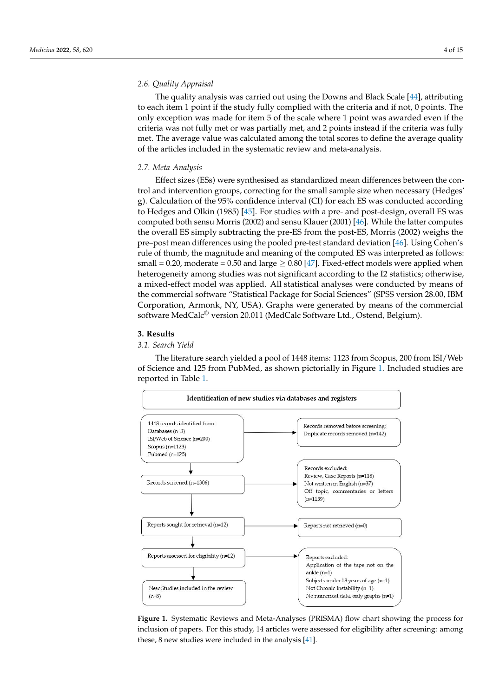# *2.6. Quality Appraisal*

The quality analysis was carried out using the Downs and Black Scale [\[44\]](#page-12-21), attributing to each item 1 point if the study fully complied with the criteria and if not, 0 points. The only exception was made for item 5 of the scale where 1 point was awarded even if the criteria was not fully met or was partially met, and 2 points instead if the criteria was fully met. The average value was calculated among the total scores to define the average quality of the articles included in the systematic review and meta-analysis.

#### *2.7. Meta-Analysis*

Effect sizes (ESs) were synthesised as standardized mean differences between the control and intervention groups, correcting for the small sample size when necessary (Hedges' g). Calculation of the 95% confidence interval (CI) for each ES was conducted according to Hedges and Olkin (1985) [\[45\]](#page-13-0). For studies with a pre- and post-design, overall ES was computed both sensu Morris (2002) and sensu Klauer (2001) [\[46\]](#page-13-1). While the latter computes the overall ES simply subtracting the pre-ES from the post-ES, Morris (2002) weighs the pre–post mean differences using the pooled pre-test standard deviation [\[46\]](#page-13-1). Using Cohen's rule of thumb, the magnitude and meaning of the computed ES was interpreted as follows: small = 0.20, moderate = 0.50 and large  $\geq$  0.80 [\[47\]](#page-13-2). Fixed-effect models were applied when heterogeneity among studies was not significant according to the I2 statistics; otherwise, a mixed-effect model was applied. All statistical analyses were conducted by means of the commercial software "Statistical Package for Social Sciences" (SPSS version 28.00, IBM Corporation, Armonk, NY, USA). Graphs were generated by means of the commercial software MedCalc® version 20.011 (MedCalc Software Ltd., Ostend, Belgium).

# **3. Results**

# *3.1. Search Yield*

The literature search yielded a pool of 1448 items: 1123 from Scopus, 200 from ISI/Web of Science and 125 from PubMed, as shown pictorially in Figure [1.](#page-3-0) Included studies are reported in Table [1.](#page-4-0)

<span id="page-3-0"></span>

**Figure 1.** Systematic Reviews and Meta-Analyses (PRISMA) flow chart showing the process for in-**Figure 1.** Systematic Reviews and Meta-Analyses (PRISMA) flow chart showing the process for clusion of papers. For this study, 14 articles were assessed for eligibility after screening: among inclusion of papers. For this study, 14 articles were assessed for eligibility after screening: among these, 8 new studies were included in the analysis [\[41\]](#page-12-18).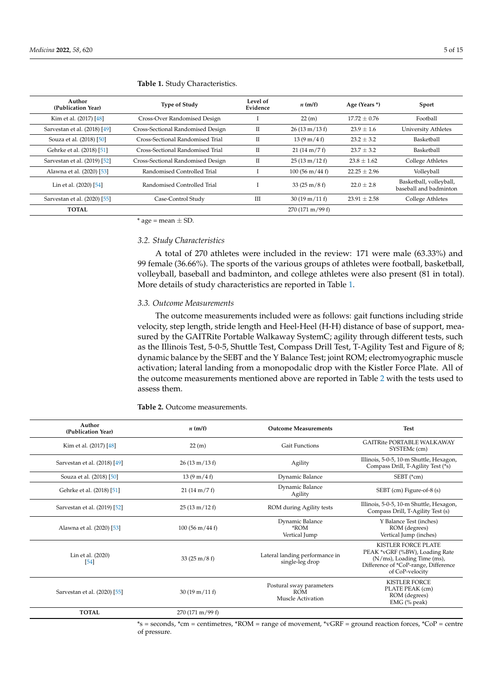| Author<br>(Publication Year) | <b>Type of Study</b>              | Level of<br>Evidence | n(m/f)                            | Age (Years *)    | Sport                                             |
|------------------------------|-----------------------------------|----------------------|-----------------------------------|------------------|---------------------------------------------------|
| Kim et al. (2017) [48]       | Cross-Over Randomised Design      |                      | 22(m)                             | $17.72 \pm 0.76$ | Football                                          |
| Sarvestan et al. (2018) [49] | Cross-Sectional Randomised Design | П                    | $26(13 \text{ m}/13 \text{ f})$   | $23.9 \pm 1.6$   | University Athletes                               |
| Souza et al. (2018) [50]     | Cross-Sectional Randomised Trial  | П                    | $13(9 \text{ m}/4 \text{ f})$     | $23.2 + 3.2$     | Basketball                                        |
| Gehrke et al. (2018) [51]    | Cross-Sectional Randomised Trial  | П                    | $21(14 \text{ m}/7 \text{ f})$    | $23.7 + 3.2$     | Basketball                                        |
| Sarvestan et al. (2019) [52] | Cross-Sectional Randomised Design | П                    | $25(13 \text{ m}/12 \text{ f})$   | $23.8 \pm 1.62$  | College Athletes                                  |
| Alawna et al. (2020) [53]    | Randomised Controlled Trial       |                      | $100(56 \text{ m}/44 \text{ f})$  | $22.25 + 2.96$   | Volleyball                                        |
| Lin et al. (2020) [54]       | Randomised Controlled Trial       |                      | $33(25 \text{ m}/8 \text{ f})$    | $22.0 \pm 2.8$   | Basketball, volleyball,<br>baseball and badminton |
| Sarvestan et al. (2020) [55] | Case-Control Study                | Ш                    | $30(19 \text{ m}/11 \text{ f})$   | $23.91 \pm 2.58$ | College Athletes                                  |
| <b>TOTAL</b>                 |                                   |                      | $270(171 \text{ m}/99 \text{ f})$ |                  |                                                   |

#### <span id="page-4-0"></span>**Table 1.** Study Characteristics.

 $*$  age = mean  $\pm$  SD.

#### *3.2. Study Characteristics*

A total of 270 athletes were included in the review: 171 were male (63.33%) and 99 female (36.66%). The sports of the various groups of athletes were football, basketball, volleyball, baseball and badminton, and college athletes were also present (81 in total). More details of study characteristics are reported in Table [1.](#page-4-0)

#### *3.3. Outcome Measurements*

The outcome measurements included were as follows: gait functions including stride velocity, step length, stride length and Heel-Heel (H-H) distance of base of support, measured by the GAITRite Portable Walkaway SystemC; agility through different tests, such as the Illinois Test, 5-0-5, Shuttle Test, Compass Drill Test, T-Agility Test and Figure of 8; dynamic balance by the SEBT and the Y Balance Test; joint ROM; electromyographic muscle activation; lateral landing from a monopodalic drop with the Kistler Force Plate. All of the outcome measurements mentioned above are reported in Table [2](#page-4-1) with the tests used to assess them.

| Author<br>(Publication Year) | n(m/f)                           | <b>Outcome Measurements</b>                                 | <b>Test</b>                                                                                                                                           |
|------------------------------|----------------------------------|-------------------------------------------------------------|-------------------------------------------------------------------------------------------------------------------------------------------------------|
| Kim et al. (2017) [48]       | 22(m)                            | <b>Gait Functions</b>                                       | <b>GAITRite PORTABLE WALKAWAY</b><br>SYSTEMc (cm)                                                                                                     |
| Sarvestan et al. (2018) [49] | $26(13 \text{ m}/13 \text{ f})$  | Agility                                                     | Illinois, 5-0-5, 10-m Shuttle, Hexagon,<br>Compass Drill, T-Agility Test (*s)                                                                         |
| Souza et al. (2018) [50]     | $13(9 \text{ m}/4 \text{ f})$    | Dynamic Balance                                             | SEBT (*cm)                                                                                                                                            |
| Gehrke et al. (2018) [51]    | $21(14 \text{ m}/7 \text{ f})$   | Dynamic Balance<br>Agility                                  | SEBT (cm) Figure-of-8 (s)                                                                                                                             |
| Sarvestan et al. (2019) [52] | $25(13 \text{ m}/12 \text{ f})$  | ROM during Agility tests                                    | Illinois, 5-0-5, 10-m Shuttle, Hexagon,<br>Compass Drill, T-Agility Test (s)                                                                          |
| Alawna et al. (2020) [53]    | $100(56 \text{ m}/44 \text{ f})$ | Dynamic Balance<br>*ROM<br>Vertical Jump                    | Y Balance Test (inches)<br>ROM (degrees)<br>Vertical Jump (inches)                                                                                    |
| Lin et al. (2020)<br>$[54]$  | $33(25 \text{ m}/8 \text{ f})$   | Lateral landing performance in<br>single-leg drop           | <b>KISTLER FORCE PLATE</b><br>PEAK *vGRF (%BW), Loading Rate<br>(N/ms), Loading Time (ms),<br>Difference of *CoP-range, Difference<br>of CoP-velocity |
| Sarvestan et al. (2020) [55] | $30(19 \text{ m}/11 \text{ f})$  | Postural sway parameters<br><b>ROM</b><br>Muscle Activation | <b>KISTLER FORCE</b><br>PLATE PEAK (cm)<br>ROM (degrees)<br>EMG (% peak)                                                                              |
| <b>TOTAL</b>                 | 270 (171 m/99 f)                 |                                                             |                                                                                                                                                       |

<span id="page-4-1"></span>**Table 2.** Outcome measurements.

\*s = seconds, \*cm = centimetres, \*ROM = range of movement, \*vGRF = ground reaction forces, \*CoP = centre of pressure.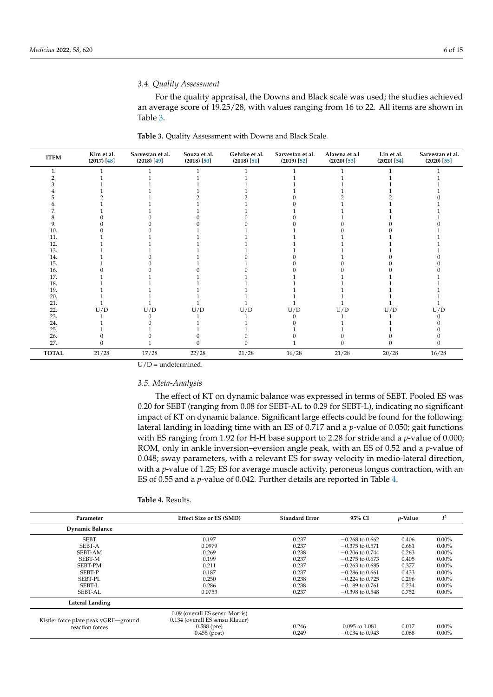## *3.4. Quality Assessment*

For the quality appraisal, the Downs and Black scale was used; the studies achieved an average score of 19.25/28, with values ranging from 16 to 22. All items are shown in Table [3.](#page-5-0)

| <b>ITEM</b>  | Kim et al.<br>$(2017)$ [48] | Sarvestan et al.<br>$(2018)$ [49]   | Souza et al.<br>$(2018)$ [50] | Gehrke et al.<br>$(2018)$ [51] | Sarvestan et al.<br>$(2019)$ [52] | Alawna et a.l<br>$(2020)$ [53] | Lin et al.<br>$(2020)$ [54] | Sarvestan et al.<br>$(2020)$ [55] |
|--------------|-----------------------------|-------------------------------------|-------------------------------|--------------------------------|-----------------------------------|--------------------------------|-----------------------------|-----------------------------------|
| ī.           |                             |                                     |                               |                                |                                   |                                |                             |                                   |
| 2.           |                             |                                     |                               |                                |                                   |                                |                             |                                   |
|              |                             |                                     |                               |                                |                                   |                                |                             |                                   |
|              |                             |                                     |                               |                                |                                   |                                |                             |                                   |
| 5.           |                             |                                     |                               |                                |                                   |                                |                             |                                   |
|              |                             |                                     |                               |                                |                                   |                                |                             |                                   |
| 7.           |                             |                                     |                               |                                |                                   |                                |                             |                                   |
| 8.           |                             |                                     |                               |                                |                                   |                                |                             |                                   |
| 9.           |                             |                                     |                               |                                |                                   |                                |                             |                                   |
| 10.          |                             |                                     |                               |                                |                                   |                                |                             |                                   |
| 11.          |                             |                                     |                               |                                |                                   |                                |                             |                                   |
| 12.          |                             |                                     |                               |                                |                                   |                                |                             |                                   |
| 13.          |                             |                                     |                               |                                |                                   |                                |                             |                                   |
| 14.          |                             |                                     |                               |                                |                                   |                                |                             |                                   |
| 15.          |                             |                                     |                               |                                |                                   |                                |                             |                                   |
| 16.          |                             |                                     |                               |                                |                                   |                                |                             |                                   |
| 17.          |                             |                                     |                               |                                |                                   |                                |                             |                                   |
| 18.          |                             |                                     |                               |                                |                                   |                                |                             |                                   |
| 19.          |                             |                                     |                               |                                |                                   |                                |                             |                                   |
| 20.          |                             |                                     |                               |                                |                                   |                                |                             |                                   |
| 21.          |                             |                                     |                               |                                |                                   |                                |                             |                                   |
| 22.          | U/D                         | $\mathop{\rm {}U}/\mathop{\rm {}D}$ | U/D                           | U/D                            | U/D                               | U/D                            | U/D                         | U/D                               |
| 23.          |                             |                                     |                               |                                |                                   |                                |                             |                                   |
| 24.          |                             |                                     |                               |                                |                                   |                                |                             |                                   |
| 25.          |                             |                                     |                               |                                |                                   |                                |                             |                                   |
| 26.          |                             |                                     |                               |                                |                                   |                                |                             |                                   |
| 27.          |                             |                                     |                               |                                |                                   |                                |                             |                                   |
| <b>TOTAL</b> | 21/28                       | 17/28                               | 22/28                         | 21/28                          | 16/28                             | 21/28                          | 20/28                       | 16/28                             |

<span id="page-5-0"></span>**Table 3.** Quality Assessment with Downs and Black Scale.

 $U/D =$  undetermined.

## *3.5. Meta-Analysis*

The effect of KT on dynamic balance was expressed in terms of SEBT. Pooled ES was 0.20 for SEBT (ranging from 0.08 for SEBT-AL to 0.29 for SEBT-L), indicating no significant impact of KT on dynamic balance. Significant large effects could be found for the following: lateral landing in loading time with an ES of 0.717 and a *p*-value of 0.050; gait functions with ES ranging from 1.92 for H-H base support to 2.28 for stride and a *p*-value of 0.000; ROM, only in ankle inversion–eversion angle peak, with an ES of 0.52 and a *p*-value of 0.048; sway parameters, with a relevant ES for sway velocity in medio-lateral direction, with a *p*-value of 1.25; ES for average muscle activity, peroneus longus contraction, with an ES of 0.55 and a *p*-value of 0.042. Further details are reported in Table [4.](#page-6-0)

| <b>Table 4. Results.</b> |  |  |  |
|--------------------------|--|--|--|
|--------------------------|--|--|--|

| Parameter                                               | <b>Effect Size or ES (SMD)</b>                                                     | <b>Standard Error</b> | 95% CI            | $p$ -Value | $I^2$    |
|---------------------------------------------------------|------------------------------------------------------------------------------------|-----------------------|-------------------|------------|----------|
| <b>Dynamic Balance</b>                                  |                                                                                    |                       |                   |            |          |
| <b>SEBT</b>                                             | 0.197                                                                              | 0.237                 | $-0.268$ to 0.662 | 0.406      | $0.00\%$ |
| <b>SEBT-A</b>                                           | 0.0979                                                                             | 0.237                 | $-0.375$ to 0.571 | 0.681      | $0.00\%$ |
| SEBT-AM                                                 | 0.269                                                                              | 0.238                 | $-0.206$ to 0.744 | 0.263      | $0.00\%$ |
| SEBT-M                                                  | 0.199                                                                              | 0.237                 | $-0.275$ to 0.673 | 0.405      | $0.00\%$ |
| <b>SEBT-PM</b>                                          | 0.211                                                                              | 0.237                 | $-0.263$ to 0.685 | 0.377      | $0.00\%$ |
| SEBT-P                                                  | 0.187                                                                              | 0.237                 | $-0.286$ to 0.661 | 0.433      | $0.00\%$ |
| <b>SEBT-PL</b>                                          | 0.250                                                                              | 0.238                 | $-0.224$ to 0.725 | 0.296      | $0.00\%$ |
| SEBT-L                                                  | 0.286                                                                              | 0.238                 | $-0.189$ to 0.761 | 0.234      | $0.00\%$ |
| <b>SEBT-AL</b>                                          | 0.0753                                                                             | 0.237                 | $-0.398$ to 0.548 | 0.752      | $0.00\%$ |
| Lateral Landing                                         |                                                                                    |                       |                   |            |          |
| Kistler force plate peak vGRF-ground<br>reaction forces | 0.09 (overall ES sensu Morris)<br>0.134 (overall ES sensu Klauer)<br>$0.588$ (pre) | 0.246                 | 0.095 to 1.081    | 0.017      | $0.00\%$ |
|                                                         | $0.455$ (post)                                                                     | 0.249                 | $-0.034$ to 0.943 | 0.068      | $0.00\%$ |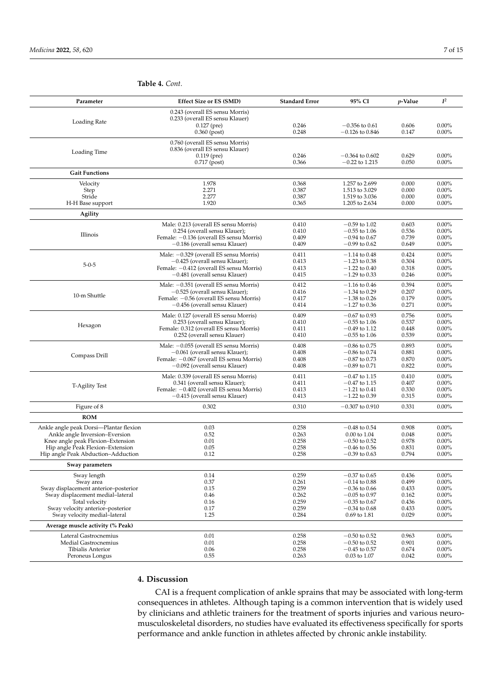| 0.243 (overall ES sensu Morris)<br>0.233 (overall ES sensu Klauer)<br>Loading Rate<br>$0.127$ (pre)<br>0.246<br>$-0.356$ to 0.61<br>0.606<br>$0.00\%$<br>$0.360$ (post)<br>0.248<br>$-0.126$ to $0.846$<br>0.147<br>0.00%<br>0.760 (overall ES sensu Morris)<br>0.836 (overall ES sensu Klauer)<br>Loading Time<br>0.246<br>$0.119$ (pre)<br>$-0.364$ to $0.602$<br>0.629<br>$0.00\%$<br>0.366<br>$-0.22$ to 1.215<br>0.050<br>0.00%<br>$0.717$ (post)<br><b>Gait Functions</b><br>1.978<br>Velocity<br>0.368<br>1.257 to 2.699<br>0.000<br>$0.00\%$<br>2.271<br>0.387<br>1.513 to 3.029<br>0.000<br>$0.00\%$<br>Step<br>Stride<br>2.277<br>0.387<br>1.519 to 3.036<br>0.000<br>$0.00\%$<br>1.920<br>H-H Base support<br>0.365<br>1.205 to 2.634<br>0.000<br>$0.00\%$<br>Agility<br>$-0.59$ to 1.02<br>0.603<br>0.00%<br>Male: 0.213 (overall ES sensu Morris)<br>0.410<br>0.254 (overall sensu Klauer);<br>0.410<br>$-0.55$ to 1.06<br>0.536<br>$0.00\%$<br>Illinois<br>Female: -0.136 (overall ES sensu Morris)<br>0.409<br>$-0.94$ to 0.67<br>0.739<br>0.00%<br>0.409<br>$-0.99$ to 0.62<br>0.649<br>0.00%<br>-0.186 (overall sensu Klauer)<br>Male: $-0.329$ (overall ES sensu Morris)<br>0.411<br>0.424<br>0.00%<br>$-1.14$ to 0.48<br>$0.00\%$<br>-0.425 (overall sensu Klauer);<br>0.413<br>$-1.23$ to 0.38<br>0.304<br>$5 - 0 - 5$<br>$-1.22$ to 0.40<br>0.318<br>0.00%<br>Female: -0.412 (overall ES sensu Morris)<br>0.413<br>$-1.29$ to 0.33<br>0.246<br>0.00%<br>-0.481 (overall sensu Klauer)<br>0.415<br>Male: -0.351 (overall ES sensu Morris)<br>0.394<br>$0.00\%$<br>0.412<br>$-1.16$ to 0.46<br>-0.525 (overall sensu Klauer);<br>0.416<br>$-1.34$ to 0.29<br>0.207<br>0.00%<br>10-m Shuttle<br>Female: -0.56 (overall ES sensu Morris)<br>0.417<br>$-1.38$ to 0.26<br>0.179<br>0.00%<br>0.414<br>$-1.27$ to 0.36<br>0.271<br>0.00%<br>-0.456 (overall sensu Klauer)<br>Male: 0.127 (overall ES sensu Morris)<br>0.409<br>$-0.67$ to 0.93<br>0.756<br>$0.00\%$<br>0.410<br>$-0.55$ to 1.06<br>0.537<br>0.00%<br>0.253 (overall sensu Klauer);<br>Hexagon<br>Female: 0.312 (overall ES sensu Morris)<br>0.411<br>$-0.49$ to 1.12<br>0.448<br>0.00%<br>0.252 (overall sensu Klauer)<br>0.410<br>$-0.55$ to 1.06<br>0.539<br>0.00%<br>0.893<br>0.00%<br>Male: $-0.055$ (overall ES sensu Morris)<br>0.408<br>$-0.86$ to 0.75<br>-0.061 (overall sensu Klauer);<br>0.408<br>$-0.86$ to 0.74<br>0.881<br>0.00%<br>Compass Drill<br>Female: -0.067 (overall ES sensu Morris)<br>0.408<br>$-0.87$ to 0.73<br>0.870<br>0.00%<br>$-0.89$ to 0.71<br>$-0.092$ (overall sensu Klauer)<br>0.408<br>0.822<br>0.00%<br>Male: 0.339 (overall ES sensu Morris)<br>0.00%<br>0.411<br>$-0.47$ to 1.15<br>0.410<br>0.341 (overall sensu Klauer);<br>0.411<br>$-0.47$ to 1.15<br>0.407<br>0.00%<br>T-Agility Test<br>0.330<br>0.00%<br>Female: -0.402 (overall ES sensu Morris)<br>0.413<br>$-1.21$ to 0.41<br>$-0.415$ (overall sensu Klauer)<br>0.413<br>$-1.22$ to 0.39<br>0.315<br>0.00%<br>0.302<br>Figure of 8<br>0.310<br>$-0.307$ to $0.910$<br>0.331<br>0.00%<br><b>ROM</b><br>Ankle angle peak Dorsi-Plantar flexion<br>0.03<br>0.908<br>$0.00\%$<br>0.258<br>$-0.48$ to 0.54<br>Ankle angle Inversion-Eversion<br>0.52<br>0.263<br>$0.00\%$<br>0.00 to 1.04<br>0.048<br>Knee angle peak Flexion-Extension<br>0.01<br>0.258<br>0.978<br>0.00%<br>$-0.50$ to 0.52<br>0.05<br>0.00%<br>Hip angle Peak Flexion-Extension<br>0.258<br>0.831<br>$-0.46$ to 0.56<br>0.12<br>0.258<br>0.794<br>0.00%<br>Hip angle Peak Abduction-Adduction<br>$-0.39$ to 0.63<br>Sway parameters<br>$0.00\%$<br>Sway length<br>0.14<br>0.259<br>$-0.37$ to $0.65$<br>0.436<br>0.37<br>Sway area<br>0.261<br>$-0.14$ to $0.88$<br>0.499<br>$0.00\%$<br>0.15<br>0.259<br>$0.00\%$<br>Sway displacement anterior-posterior<br>0.433<br>$-0.36$ to 0.66<br>Sway displacement medial-lateral<br>0.46<br>0.262<br>$-0.05$ to 0.97<br>$0.00\%$<br>0.162<br>Total velocity<br>0.16<br>0.259<br>$-0.35$ to 0.67<br>0.436<br>$0.00\%$<br>Sway velocity anterior-posterior<br>0.17<br>0.259<br>0.433<br>$0.00\%$<br>$-0.34$ to 0.68<br>Sway velocity medial-lateral<br>1.25<br>0.284<br>0.69 to 1.81<br>0.029<br>$0.00\%$<br>Average muscle activity (% Peak)<br>Lateral Gastrocnemius<br>0.01<br>0.258<br>0.963<br>$0.00\%$<br>$-0.50$ to 0.52<br>0.01<br>Medial Gastrocnemius<br>0.258<br>$-0.50$ to 0.52<br>0.901<br>$0.00\%$<br>0.06<br>Tibialis Anterior<br>0.258<br>$-0.45$ to 0.57<br>0.674<br>$0.00\%$<br>Peroneus Longus<br>0.55<br>0.263<br>0.03 to 1.07<br>0.042<br>$0.00\%$ | Parameter | <b>Effect Size or ES (SMD)</b> | <b>Standard Error</b> | 95% CI | <i>p</i> -Value | $I^2$ |
|---------------------------------------------------------------------------------------------------------------------------------------------------------------------------------------------------------------------------------------------------------------------------------------------------------------------------------------------------------------------------------------------------------------------------------------------------------------------------------------------------------------------------------------------------------------------------------------------------------------------------------------------------------------------------------------------------------------------------------------------------------------------------------------------------------------------------------------------------------------------------------------------------------------------------------------------------------------------------------------------------------------------------------------------------------------------------------------------------------------------------------------------------------------------------------------------------------------------------------------------------------------------------------------------------------------------------------------------------------------------------------------------------------------------------------------------------------------------------------------------------------------------------------------------------------------------------------------------------------------------------------------------------------------------------------------------------------------------------------------------------------------------------------------------------------------------------------------------------------------------------------------------------------------------------------------------------------------------------------------------------------------------------------------------------------------------------------------------------------------------------------------------------------------------------------------------------------------------------------------------------------------------------------------------------------------------------------------------------------------------------------------------------------------------------------------------------------------------------------------------------------------------------------------------------------------------------------------------------------------------------------------------------------------------------------------------------------------------------------------------------------------------------------------------------------------------------------------------------------------------------------------------------------------------------------------------------------------------------------------------------------------------------------------------------------------------------------------------------------------------------------------------------------------------------------------------------------------------------------------------------------------------------------------------------------------------------------------------------------------------------------------------------------------------------------------------------------------------------------------------------------------------------------------------------------------------------------------------------------------------------------------------------------------------------------------------------------------------------------------------------------------------------------------------------------------------------------------------------------------------------------------------------------------------------------------------------------------------------------------------------------------------------------------------------------------------------------------------------------------------------------------------------------------------------------------------------------------------------------------------------------------------------------------------------------------------------------------------------------------------------------------------------------------------------------------------------------------------------------------------------------------------------------------------------------------|-----------|--------------------------------|-----------------------|--------|-----------------|-------|
|                                                                                                                                                                                                                                                                                                                                                                                                                                                                                                                                                                                                                                                                                                                                                                                                                                                                                                                                                                                                                                                                                                                                                                                                                                                                                                                                                                                                                                                                                                                                                                                                                                                                                                                                                                                                                                                                                                                                                                                                                                                                                                                                                                                                                                                                                                                                                                                                                                                                                                                                                                                                                                                                                                                                                                                                                                                                                                                                                                                                                                                                                                                                                                                                                                                                                                                                                                                                                                                                                                                                                                                                                                                                                                                                                                                                                                                                                                                                                                                                                                                                                                                                                                                                                                                                                                                                                                                                                                                                                                                                                               |           |                                |                       |        |                 |       |
|                                                                                                                                                                                                                                                                                                                                                                                                                                                                                                                                                                                                                                                                                                                                                                                                                                                                                                                                                                                                                                                                                                                                                                                                                                                                                                                                                                                                                                                                                                                                                                                                                                                                                                                                                                                                                                                                                                                                                                                                                                                                                                                                                                                                                                                                                                                                                                                                                                                                                                                                                                                                                                                                                                                                                                                                                                                                                                                                                                                                                                                                                                                                                                                                                                                                                                                                                                                                                                                                                                                                                                                                                                                                                                                                                                                                                                                                                                                                                                                                                                                                                                                                                                                                                                                                                                                                                                                                                                                                                                                                                               |           |                                |                       |        |                 |       |
|                                                                                                                                                                                                                                                                                                                                                                                                                                                                                                                                                                                                                                                                                                                                                                                                                                                                                                                                                                                                                                                                                                                                                                                                                                                                                                                                                                                                                                                                                                                                                                                                                                                                                                                                                                                                                                                                                                                                                                                                                                                                                                                                                                                                                                                                                                                                                                                                                                                                                                                                                                                                                                                                                                                                                                                                                                                                                                                                                                                                                                                                                                                                                                                                                                                                                                                                                                                                                                                                                                                                                                                                                                                                                                                                                                                                                                                                                                                                                                                                                                                                                                                                                                                                                                                                                                                                                                                                                                                                                                                                                               |           |                                |                       |        |                 |       |
|                                                                                                                                                                                                                                                                                                                                                                                                                                                                                                                                                                                                                                                                                                                                                                                                                                                                                                                                                                                                                                                                                                                                                                                                                                                                                                                                                                                                                                                                                                                                                                                                                                                                                                                                                                                                                                                                                                                                                                                                                                                                                                                                                                                                                                                                                                                                                                                                                                                                                                                                                                                                                                                                                                                                                                                                                                                                                                                                                                                                                                                                                                                                                                                                                                                                                                                                                                                                                                                                                                                                                                                                                                                                                                                                                                                                                                                                                                                                                                                                                                                                                                                                                                                                                                                                                                                                                                                                                                                                                                                                                               |           |                                |                       |        |                 |       |
|                                                                                                                                                                                                                                                                                                                                                                                                                                                                                                                                                                                                                                                                                                                                                                                                                                                                                                                                                                                                                                                                                                                                                                                                                                                                                                                                                                                                                                                                                                                                                                                                                                                                                                                                                                                                                                                                                                                                                                                                                                                                                                                                                                                                                                                                                                                                                                                                                                                                                                                                                                                                                                                                                                                                                                                                                                                                                                                                                                                                                                                                                                                                                                                                                                                                                                                                                                                                                                                                                                                                                                                                                                                                                                                                                                                                                                                                                                                                                                                                                                                                                                                                                                                                                                                                                                                                                                                                                                                                                                                                                               |           |                                |                       |        |                 |       |
|                                                                                                                                                                                                                                                                                                                                                                                                                                                                                                                                                                                                                                                                                                                                                                                                                                                                                                                                                                                                                                                                                                                                                                                                                                                                                                                                                                                                                                                                                                                                                                                                                                                                                                                                                                                                                                                                                                                                                                                                                                                                                                                                                                                                                                                                                                                                                                                                                                                                                                                                                                                                                                                                                                                                                                                                                                                                                                                                                                                                                                                                                                                                                                                                                                                                                                                                                                                                                                                                                                                                                                                                                                                                                                                                                                                                                                                                                                                                                                                                                                                                                                                                                                                                                                                                                                                                                                                                                                                                                                                                                               |           |                                |                       |        |                 |       |
|                                                                                                                                                                                                                                                                                                                                                                                                                                                                                                                                                                                                                                                                                                                                                                                                                                                                                                                                                                                                                                                                                                                                                                                                                                                                                                                                                                                                                                                                                                                                                                                                                                                                                                                                                                                                                                                                                                                                                                                                                                                                                                                                                                                                                                                                                                                                                                                                                                                                                                                                                                                                                                                                                                                                                                                                                                                                                                                                                                                                                                                                                                                                                                                                                                                                                                                                                                                                                                                                                                                                                                                                                                                                                                                                                                                                                                                                                                                                                                                                                                                                                                                                                                                                                                                                                                                                                                                                                                                                                                                                                               |           |                                |                       |        |                 |       |
|                                                                                                                                                                                                                                                                                                                                                                                                                                                                                                                                                                                                                                                                                                                                                                                                                                                                                                                                                                                                                                                                                                                                                                                                                                                                                                                                                                                                                                                                                                                                                                                                                                                                                                                                                                                                                                                                                                                                                                                                                                                                                                                                                                                                                                                                                                                                                                                                                                                                                                                                                                                                                                                                                                                                                                                                                                                                                                                                                                                                                                                                                                                                                                                                                                                                                                                                                                                                                                                                                                                                                                                                                                                                                                                                                                                                                                                                                                                                                                                                                                                                                                                                                                                                                                                                                                                                                                                                                                                                                                                                                               |           |                                |                       |        |                 |       |
|                                                                                                                                                                                                                                                                                                                                                                                                                                                                                                                                                                                                                                                                                                                                                                                                                                                                                                                                                                                                                                                                                                                                                                                                                                                                                                                                                                                                                                                                                                                                                                                                                                                                                                                                                                                                                                                                                                                                                                                                                                                                                                                                                                                                                                                                                                                                                                                                                                                                                                                                                                                                                                                                                                                                                                                                                                                                                                                                                                                                                                                                                                                                                                                                                                                                                                                                                                                                                                                                                                                                                                                                                                                                                                                                                                                                                                                                                                                                                                                                                                                                                                                                                                                                                                                                                                                                                                                                                                                                                                                                                               |           |                                |                       |        |                 |       |
|                                                                                                                                                                                                                                                                                                                                                                                                                                                                                                                                                                                                                                                                                                                                                                                                                                                                                                                                                                                                                                                                                                                                                                                                                                                                                                                                                                                                                                                                                                                                                                                                                                                                                                                                                                                                                                                                                                                                                                                                                                                                                                                                                                                                                                                                                                                                                                                                                                                                                                                                                                                                                                                                                                                                                                                                                                                                                                                                                                                                                                                                                                                                                                                                                                                                                                                                                                                                                                                                                                                                                                                                                                                                                                                                                                                                                                                                                                                                                                                                                                                                                                                                                                                                                                                                                                                                                                                                                                                                                                                                                               |           |                                |                       |        |                 |       |
|                                                                                                                                                                                                                                                                                                                                                                                                                                                                                                                                                                                                                                                                                                                                                                                                                                                                                                                                                                                                                                                                                                                                                                                                                                                                                                                                                                                                                                                                                                                                                                                                                                                                                                                                                                                                                                                                                                                                                                                                                                                                                                                                                                                                                                                                                                                                                                                                                                                                                                                                                                                                                                                                                                                                                                                                                                                                                                                                                                                                                                                                                                                                                                                                                                                                                                                                                                                                                                                                                                                                                                                                                                                                                                                                                                                                                                                                                                                                                                                                                                                                                                                                                                                                                                                                                                                                                                                                                                                                                                                                                               |           |                                |                       |        |                 |       |
|                                                                                                                                                                                                                                                                                                                                                                                                                                                                                                                                                                                                                                                                                                                                                                                                                                                                                                                                                                                                                                                                                                                                                                                                                                                                                                                                                                                                                                                                                                                                                                                                                                                                                                                                                                                                                                                                                                                                                                                                                                                                                                                                                                                                                                                                                                                                                                                                                                                                                                                                                                                                                                                                                                                                                                                                                                                                                                                                                                                                                                                                                                                                                                                                                                                                                                                                                                                                                                                                                                                                                                                                                                                                                                                                                                                                                                                                                                                                                                                                                                                                                                                                                                                                                                                                                                                                                                                                                                                                                                                                                               |           |                                |                       |        |                 |       |
|                                                                                                                                                                                                                                                                                                                                                                                                                                                                                                                                                                                                                                                                                                                                                                                                                                                                                                                                                                                                                                                                                                                                                                                                                                                                                                                                                                                                                                                                                                                                                                                                                                                                                                                                                                                                                                                                                                                                                                                                                                                                                                                                                                                                                                                                                                                                                                                                                                                                                                                                                                                                                                                                                                                                                                                                                                                                                                                                                                                                                                                                                                                                                                                                                                                                                                                                                                                                                                                                                                                                                                                                                                                                                                                                                                                                                                                                                                                                                                                                                                                                                                                                                                                                                                                                                                                                                                                                                                                                                                                                                               |           |                                |                       |        |                 |       |
|                                                                                                                                                                                                                                                                                                                                                                                                                                                                                                                                                                                                                                                                                                                                                                                                                                                                                                                                                                                                                                                                                                                                                                                                                                                                                                                                                                                                                                                                                                                                                                                                                                                                                                                                                                                                                                                                                                                                                                                                                                                                                                                                                                                                                                                                                                                                                                                                                                                                                                                                                                                                                                                                                                                                                                                                                                                                                                                                                                                                                                                                                                                                                                                                                                                                                                                                                                                                                                                                                                                                                                                                                                                                                                                                                                                                                                                                                                                                                                                                                                                                                                                                                                                                                                                                                                                                                                                                                                                                                                                                                               |           |                                |                       |        |                 |       |
|                                                                                                                                                                                                                                                                                                                                                                                                                                                                                                                                                                                                                                                                                                                                                                                                                                                                                                                                                                                                                                                                                                                                                                                                                                                                                                                                                                                                                                                                                                                                                                                                                                                                                                                                                                                                                                                                                                                                                                                                                                                                                                                                                                                                                                                                                                                                                                                                                                                                                                                                                                                                                                                                                                                                                                                                                                                                                                                                                                                                                                                                                                                                                                                                                                                                                                                                                                                                                                                                                                                                                                                                                                                                                                                                                                                                                                                                                                                                                                                                                                                                                                                                                                                                                                                                                                                                                                                                                                                                                                                                                               |           |                                |                       |        |                 |       |
|                                                                                                                                                                                                                                                                                                                                                                                                                                                                                                                                                                                                                                                                                                                                                                                                                                                                                                                                                                                                                                                                                                                                                                                                                                                                                                                                                                                                                                                                                                                                                                                                                                                                                                                                                                                                                                                                                                                                                                                                                                                                                                                                                                                                                                                                                                                                                                                                                                                                                                                                                                                                                                                                                                                                                                                                                                                                                                                                                                                                                                                                                                                                                                                                                                                                                                                                                                                                                                                                                                                                                                                                                                                                                                                                                                                                                                                                                                                                                                                                                                                                                                                                                                                                                                                                                                                                                                                                                                                                                                                                                               |           |                                |                       |        |                 |       |
|                                                                                                                                                                                                                                                                                                                                                                                                                                                                                                                                                                                                                                                                                                                                                                                                                                                                                                                                                                                                                                                                                                                                                                                                                                                                                                                                                                                                                                                                                                                                                                                                                                                                                                                                                                                                                                                                                                                                                                                                                                                                                                                                                                                                                                                                                                                                                                                                                                                                                                                                                                                                                                                                                                                                                                                                                                                                                                                                                                                                                                                                                                                                                                                                                                                                                                                                                                                                                                                                                                                                                                                                                                                                                                                                                                                                                                                                                                                                                                                                                                                                                                                                                                                                                                                                                                                                                                                                                                                                                                                                                               |           |                                |                       |        |                 |       |
|                                                                                                                                                                                                                                                                                                                                                                                                                                                                                                                                                                                                                                                                                                                                                                                                                                                                                                                                                                                                                                                                                                                                                                                                                                                                                                                                                                                                                                                                                                                                                                                                                                                                                                                                                                                                                                                                                                                                                                                                                                                                                                                                                                                                                                                                                                                                                                                                                                                                                                                                                                                                                                                                                                                                                                                                                                                                                                                                                                                                                                                                                                                                                                                                                                                                                                                                                                                                                                                                                                                                                                                                                                                                                                                                                                                                                                                                                                                                                                                                                                                                                                                                                                                                                                                                                                                                                                                                                                                                                                                                                               |           |                                |                       |        |                 |       |
|                                                                                                                                                                                                                                                                                                                                                                                                                                                                                                                                                                                                                                                                                                                                                                                                                                                                                                                                                                                                                                                                                                                                                                                                                                                                                                                                                                                                                                                                                                                                                                                                                                                                                                                                                                                                                                                                                                                                                                                                                                                                                                                                                                                                                                                                                                                                                                                                                                                                                                                                                                                                                                                                                                                                                                                                                                                                                                                                                                                                                                                                                                                                                                                                                                                                                                                                                                                                                                                                                                                                                                                                                                                                                                                                                                                                                                                                                                                                                                                                                                                                                                                                                                                                                                                                                                                                                                                                                                                                                                                                                               |           |                                |                       |        |                 |       |
|                                                                                                                                                                                                                                                                                                                                                                                                                                                                                                                                                                                                                                                                                                                                                                                                                                                                                                                                                                                                                                                                                                                                                                                                                                                                                                                                                                                                                                                                                                                                                                                                                                                                                                                                                                                                                                                                                                                                                                                                                                                                                                                                                                                                                                                                                                                                                                                                                                                                                                                                                                                                                                                                                                                                                                                                                                                                                                                                                                                                                                                                                                                                                                                                                                                                                                                                                                                                                                                                                                                                                                                                                                                                                                                                                                                                                                                                                                                                                                                                                                                                                                                                                                                                                                                                                                                                                                                                                                                                                                                                                               |           |                                |                       |        |                 |       |
|                                                                                                                                                                                                                                                                                                                                                                                                                                                                                                                                                                                                                                                                                                                                                                                                                                                                                                                                                                                                                                                                                                                                                                                                                                                                                                                                                                                                                                                                                                                                                                                                                                                                                                                                                                                                                                                                                                                                                                                                                                                                                                                                                                                                                                                                                                                                                                                                                                                                                                                                                                                                                                                                                                                                                                                                                                                                                                                                                                                                                                                                                                                                                                                                                                                                                                                                                                                                                                                                                                                                                                                                                                                                                                                                                                                                                                                                                                                                                                                                                                                                                                                                                                                                                                                                                                                                                                                                                                                                                                                                                               |           |                                |                       |        |                 |       |
|                                                                                                                                                                                                                                                                                                                                                                                                                                                                                                                                                                                                                                                                                                                                                                                                                                                                                                                                                                                                                                                                                                                                                                                                                                                                                                                                                                                                                                                                                                                                                                                                                                                                                                                                                                                                                                                                                                                                                                                                                                                                                                                                                                                                                                                                                                                                                                                                                                                                                                                                                                                                                                                                                                                                                                                                                                                                                                                                                                                                                                                                                                                                                                                                                                                                                                                                                                                                                                                                                                                                                                                                                                                                                                                                                                                                                                                                                                                                                                                                                                                                                                                                                                                                                                                                                                                                                                                                                                                                                                                                                               |           |                                |                       |        |                 |       |
|                                                                                                                                                                                                                                                                                                                                                                                                                                                                                                                                                                                                                                                                                                                                                                                                                                                                                                                                                                                                                                                                                                                                                                                                                                                                                                                                                                                                                                                                                                                                                                                                                                                                                                                                                                                                                                                                                                                                                                                                                                                                                                                                                                                                                                                                                                                                                                                                                                                                                                                                                                                                                                                                                                                                                                                                                                                                                                                                                                                                                                                                                                                                                                                                                                                                                                                                                                                                                                                                                                                                                                                                                                                                                                                                                                                                                                                                                                                                                                                                                                                                                                                                                                                                                                                                                                                                                                                                                                                                                                                                                               |           |                                |                       |        |                 |       |
|                                                                                                                                                                                                                                                                                                                                                                                                                                                                                                                                                                                                                                                                                                                                                                                                                                                                                                                                                                                                                                                                                                                                                                                                                                                                                                                                                                                                                                                                                                                                                                                                                                                                                                                                                                                                                                                                                                                                                                                                                                                                                                                                                                                                                                                                                                                                                                                                                                                                                                                                                                                                                                                                                                                                                                                                                                                                                                                                                                                                                                                                                                                                                                                                                                                                                                                                                                                                                                                                                                                                                                                                                                                                                                                                                                                                                                                                                                                                                                                                                                                                                                                                                                                                                                                                                                                                                                                                                                                                                                                                                               |           |                                |                       |        |                 |       |
|                                                                                                                                                                                                                                                                                                                                                                                                                                                                                                                                                                                                                                                                                                                                                                                                                                                                                                                                                                                                                                                                                                                                                                                                                                                                                                                                                                                                                                                                                                                                                                                                                                                                                                                                                                                                                                                                                                                                                                                                                                                                                                                                                                                                                                                                                                                                                                                                                                                                                                                                                                                                                                                                                                                                                                                                                                                                                                                                                                                                                                                                                                                                                                                                                                                                                                                                                                                                                                                                                                                                                                                                                                                                                                                                                                                                                                                                                                                                                                                                                                                                                                                                                                                                                                                                                                                                                                                                                                                                                                                                                               |           |                                |                       |        |                 |       |
|                                                                                                                                                                                                                                                                                                                                                                                                                                                                                                                                                                                                                                                                                                                                                                                                                                                                                                                                                                                                                                                                                                                                                                                                                                                                                                                                                                                                                                                                                                                                                                                                                                                                                                                                                                                                                                                                                                                                                                                                                                                                                                                                                                                                                                                                                                                                                                                                                                                                                                                                                                                                                                                                                                                                                                                                                                                                                                                                                                                                                                                                                                                                                                                                                                                                                                                                                                                                                                                                                                                                                                                                                                                                                                                                                                                                                                                                                                                                                                                                                                                                                                                                                                                                                                                                                                                                                                                                                                                                                                                                                               |           |                                |                       |        |                 |       |
|                                                                                                                                                                                                                                                                                                                                                                                                                                                                                                                                                                                                                                                                                                                                                                                                                                                                                                                                                                                                                                                                                                                                                                                                                                                                                                                                                                                                                                                                                                                                                                                                                                                                                                                                                                                                                                                                                                                                                                                                                                                                                                                                                                                                                                                                                                                                                                                                                                                                                                                                                                                                                                                                                                                                                                                                                                                                                                                                                                                                                                                                                                                                                                                                                                                                                                                                                                                                                                                                                                                                                                                                                                                                                                                                                                                                                                                                                                                                                                                                                                                                                                                                                                                                                                                                                                                                                                                                                                                                                                                                                               |           |                                |                       |        |                 |       |
|                                                                                                                                                                                                                                                                                                                                                                                                                                                                                                                                                                                                                                                                                                                                                                                                                                                                                                                                                                                                                                                                                                                                                                                                                                                                                                                                                                                                                                                                                                                                                                                                                                                                                                                                                                                                                                                                                                                                                                                                                                                                                                                                                                                                                                                                                                                                                                                                                                                                                                                                                                                                                                                                                                                                                                                                                                                                                                                                                                                                                                                                                                                                                                                                                                                                                                                                                                                                                                                                                                                                                                                                                                                                                                                                                                                                                                                                                                                                                                                                                                                                                                                                                                                                                                                                                                                                                                                                                                                                                                                                                               |           |                                |                       |        |                 |       |
|                                                                                                                                                                                                                                                                                                                                                                                                                                                                                                                                                                                                                                                                                                                                                                                                                                                                                                                                                                                                                                                                                                                                                                                                                                                                                                                                                                                                                                                                                                                                                                                                                                                                                                                                                                                                                                                                                                                                                                                                                                                                                                                                                                                                                                                                                                                                                                                                                                                                                                                                                                                                                                                                                                                                                                                                                                                                                                                                                                                                                                                                                                                                                                                                                                                                                                                                                                                                                                                                                                                                                                                                                                                                                                                                                                                                                                                                                                                                                                                                                                                                                                                                                                                                                                                                                                                                                                                                                                                                                                                                                               |           |                                |                       |        |                 |       |
|                                                                                                                                                                                                                                                                                                                                                                                                                                                                                                                                                                                                                                                                                                                                                                                                                                                                                                                                                                                                                                                                                                                                                                                                                                                                                                                                                                                                                                                                                                                                                                                                                                                                                                                                                                                                                                                                                                                                                                                                                                                                                                                                                                                                                                                                                                                                                                                                                                                                                                                                                                                                                                                                                                                                                                                                                                                                                                                                                                                                                                                                                                                                                                                                                                                                                                                                                                                                                                                                                                                                                                                                                                                                                                                                                                                                                                                                                                                                                                                                                                                                                                                                                                                                                                                                                                                                                                                                                                                                                                                                                               |           |                                |                       |        |                 |       |
|                                                                                                                                                                                                                                                                                                                                                                                                                                                                                                                                                                                                                                                                                                                                                                                                                                                                                                                                                                                                                                                                                                                                                                                                                                                                                                                                                                                                                                                                                                                                                                                                                                                                                                                                                                                                                                                                                                                                                                                                                                                                                                                                                                                                                                                                                                                                                                                                                                                                                                                                                                                                                                                                                                                                                                                                                                                                                                                                                                                                                                                                                                                                                                                                                                                                                                                                                                                                                                                                                                                                                                                                                                                                                                                                                                                                                                                                                                                                                                                                                                                                                                                                                                                                                                                                                                                                                                                                                                                                                                                                                               |           |                                |                       |        |                 |       |
|                                                                                                                                                                                                                                                                                                                                                                                                                                                                                                                                                                                                                                                                                                                                                                                                                                                                                                                                                                                                                                                                                                                                                                                                                                                                                                                                                                                                                                                                                                                                                                                                                                                                                                                                                                                                                                                                                                                                                                                                                                                                                                                                                                                                                                                                                                                                                                                                                                                                                                                                                                                                                                                                                                                                                                                                                                                                                                                                                                                                                                                                                                                                                                                                                                                                                                                                                                                                                                                                                                                                                                                                                                                                                                                                                                                                                                                                                                                                                                                                                                                                                                                                                                                                                                                                                                                                                                                                                                                                                                                                                               |           |                                |                       |        |                 |       |
|                                                                                                                                                                                                                                                                                                                                                                                                                                                                                                                                                                                                                                                                                                                                                                                                                                                                                                                                                                                                                                                                                                                                                                                                                                                                                                                                                                                                                                                                                                                                                                                                                                                                                                                                                                                                                                                                                                                                                                                                                                                                                                                                                                                                                                                                                                                                                                                                                                                                                                                                                                                                                                                                                                                                                                                                                                                                                                                                                                                                                                                                                                                                                                                                                                                                                                                                                                                                                                                                                                                                                                                                                                                                                                                                                                                                                                                                                                                                                                                                                                                                                                                                                                                                                                                                                                                                                                                                                                                                                                                                                               |           |                                |                       |        |                 |       |
|                                                                                                                                                                                                                                                                                                                                                                                                                                                                                                                                                                                                                                                                                                                                                                                                                                                                                                                                                                                                                                                                                                                                                                                                                                                                                                                                                                                                                                                                                                                                                                                                                                                                                                                                                                                                                                                                                                                                                                                                                                                                                                                                                                                                                                                                                                                                                                                                                                                                                                                                                                                                                                                                                                                                                                                                                                                                                                                                                                                                                                                                                                                                                                                                                                                                                                                                                                                                                                                                                                                                                                                                                                                                                                                                                                                                                                                                                                                                                                                                                                                                                                                                                                                                                                                                                                                                                                                                                                                                                                                                                               |           |                                |                       |        |                 |       |
|                                                                                                                                                                                                                                                                                                                                                                                                                                                                                                                                                                                                                                                                                                                                                                                                                                                                                                                                                                                                                                                                                                                                                                                                                                                                                                                                                                                                                                                                                                                                                                                                                                                                                                                                                                                                                                                                                                                                                                                                                                                                                                                                                                                                                                                                                                                                                                                                                                                                                                                                                                                                                                                                                                                                                                                                                                                                                                                                                                                                                                                                                                                                                                                                                                                                                                                                                                                                                                                                                                                                                                                                                                                                                                                                                                                                                                                                                                                                                                                                                                                                                                                                                                                                                                                                                                                                                                                                                                                                                                                                                               |           |                                |                       |        |                 |       |
|                                                                                                                                                                                                                                                                                                                                                                                                                                                                                                                                                                                                                                                                                                                                                                                                                                                                                                                                                                                                                                                                                                                                                                                                                                                                                                                                                                                                                                                                                                                                                                                                                                                                                                                                                                                                                                                                                                                                                                                                                                                                                                                                                                                                                                                                                                                                                                                                                                                                                                                                                                                                                                                                                                                                                                                                                                                                                                                                                                                                                                                                                                                                                                                                                                                                                                                                                                                                                                                                                                                                                                                                                                                                                                                                                                                                                                                                                                                                                                                                                                                                                                                                                                                                                                                                                                                                                                                                                                                                                                                                                               |           |                                |                       |        |                 |       |
|                                                                                                                                                                                                                                                                                                                                                                                                                                                                                                                                                                                                                                                                                                                                                                                                                                                                                                                                                                                                                                                                                                                                                                                                                                                                                                                                                                                                                                                                                                                                                                                                                                                                                                                                                                                                                                                                                                                                                                                                                                                                                                                                                                                                                                                                                                                                                                                                                                                                                                                                                                                                                                                                                                                                                                                                                                                                                                                                                                                                                                                                                                                                                                                                                                                                                                                                                                                                                                                                                                                                                                                                                                                                                                                                                                                                                                                                                                                                                                                                                                                                                                                                                                                                                                                                                                                                                                                                                                                                                                                                                               |           |                                |                       |        |                 |       |
|                                                                                                                                                                                                                                                                                                                                                                                                                                                                                                                                                                                                                                                                                                                                                                                                                                                                                                                                                                                                                                                                                                                                                                                                                                                                                                                                                                                                                                                                                                                                                                                                                                                                                                                                                                                                                                                                                                                                                                                                                                                                                                                                                                                                                                                                                                                                                                                                                                                                                                                                                                                                                                                                                                                                                                                                                                                                                                                                                                                                                                                                                                                                                                                                                                                                                                                                                                                                                                                                                                                                                                                                                                                                                                                                                                                                                                                                                                                                                                                                                                                                                                                                                                                                                                                                                                                                                                                                                                                                                                                                                               |           |                                |                       |        |                 |       |
|                                                                                                                                                                                                                                                                                                                                                                                                                                                                                                                                                                                                                                                                                                                                                                                                                                                                                                                                                                                                                                                                                                                                                                                                                                                                                                                                                                                                                                                                                                                                                                                                                                                                                                                                                                                                                                                                                                                                                                                                                                                                                                                                                                                                                                                                                                                                                                                                                                                                                                                                                                                                                                                                                                                                                                                                                                                                                                                                                                                                                                                                                                                                                                                                                                                                                                                                                                                                                                                                                                                                                                                                                                                                                                                                                                                                                                                                                                                                                                                                                                                                                                                                                                                                                                                                                                                                                                                                                                                                                                                                                               |           |                                |                       |        |                 |       |
|                                                                                                                                                                                                                                                                                                                                                                                                                                                                                                                                                                                                                                                                                                                                                                                                                                                                                                                                                                                                                                                                                                                                                                                                                                                                                                                                                                                                                                                                                                                                                                                                                                                                                                                                                                                                                                                                                                                                                                                                                                                                                                                                                                                                                                                                                                                                                                                                                                                                                                                                                                                                                                                                                                                                                                                                                                                                                                                                                                                                                                                                                                                                                                                                                                                                                                                                                                                                                                                                                                                                                                                                                                                                                                                                                                                                                                                                                                                                                                                                                                                                                                                                                                                                                                                                                                                                                                                                                                                                                                                                                               |           |                                |                       |        |                 |       |
|                                                                                                                                                                                                                                                                                                                                                                                                                                                                                                                                                                                                                                                                                                                                                                                                                                                                                                                                                                                                                                                                                                                                                                                                                                                                                                                                                                                                                                                                                                                                                                                                                                                                                                                                                                                                                                                                                                                                                                                                                                                                                                                                                                                                                                                                                                                                                                                                                                                                                                                                                                                                                                                                                                                                                                                                                                                                                                                                                                                                                                                                                                                                                                                                                                                                                                                                                                                                                                                                                                                                                                                                                                                                                                                                                                                                                                                                                                                                                                                                                                                                                                                                                                                                                                                                                                                                                                                                                                                                                                                                                               |           |                                |                       |        |                 |       |
|                                                                                                                                                                                                                                                                                                                                                                                                                                                                                                                                                                                                                                                                                                                                                                                                                                                                                                                                                                                                                                                                                                                                                                                                                                                                                                                                                                                                                                                                                                                                                                                                                                                                                                                                                                                                                                                                                                                                                                                                                                                                                                                                                                                                                                                                                                                                                                                                                                                                                                                                                                                                                                                                                                                                                                                                                                                                                                                                                                                                                                                                                                                                                                                                                                                                                                                                                                                                                                                                                                                                                                                                                                                                                                                                                                                                                                                                                                                                                                                                                                                                                                                                                                                                                                                                                                                                                                                                                                                                                                                                                               |           |                                |                       |        |                 |       |
|                                                                                                                                                                                                                                                                                                                                                                                                                                                                                                                                                                                                                                                                                                                                                                                                                                                                                                                                                                                                                                                                                                                                                                                                                                                                                                                                                                                                                                                                                                                                                                                                                                                                                                                                                                                                                                                                                                                                                                                                                                                                                                                                                                                                                                                                                                                                                                                                                                                                                                                                                                                                                                                                                                                                                                                                                                                                                                                                                                                                                                                                                                                                                                                                                                                                                                                                                                                                                                                                                                                                                                                                                                                                                                                                                                                                                                                                                                                                                                                                                                                                                                                                                                                                                                                                                                                                                                                                                                                                                                                                                               |           |                                |                       |        |                 |       |
|                                                                                                                                                                                                                                                                                                                                                                                                                                                                                                                                                                                                                                                                                                                                                                                                                                                                                                                                                                                                                                                                                                                                                                                                                                                                                                                                                                                                                                                                                                                                                                                                                                                                                                                                                                                                                                                                                                                                                                                                                                                                                                                                                                                                                                                                                                                                                                                                                                                                                                                                                                                                                                                                                                                                                                                                                                                                                                                                                                                                                                                                                                                                                                                                                                                                                                                                                                                                                                                                                                                                                                                                                                                                                                                                                                                                                                                                                                                                                                                                                                                                                                                                                                                                                                                                                                                                                                                                                                                                                                                                                               |           |                                |                       |        |                 |       |
|                                                                                                                                                                                                                                                                                                                                                                                                                                                                                                                                                                                                                                                                                                                                                                                                                                                                                                                                                                                                                                                                                                                                                                                                                                                                                                                                                                                                                                                                                                                                                                                                                                                                                                                                                                                                                                                                                                                                                                                                                                                                                                                                                                                                                                                                                                                                                                                                                                                                                                                                                                                                                                                                                                                                                                                                                                                                                                                                                                                                                                                                                                                                                                                                                                                                                                                                                                                                                                                                                                                                                                                                                                                                                                                                                                                                                                                                                                                                                                                                                                                                                                                                                                                                                                                                                                                                                                                                                                                                                                                                                               |           |                                |                       |        |                 |       |
|                                                                                                                                                                                                                                                                                                                                                                                                                                                                                                                                                                                                                                                                                                                                                                                                                                                                                                                                                                                                                                                                                                                                                                                                                                                                                                                                                                                                                                                                                                                                                                                                                                                                                                                                                                                                                                                                                                                                                                                                                                                                                                                                                                                                                                                                                                                                                                                                                                                                                                                                                                                                                                                                                                                                                                                                                                                                                                                                                                                                                                                                                                                                                                                                                                                                                                                                                                                                                                                                                                                                                                                                                                                                                                                                                                                                                                                                                                                                                                                                                                                                                                                                                                                                                                                                                                                                                                                                                                                                                                                                                               |           |                                |                       |        |                 |       |
|                                                                                                                                                                                                                                                                                                                                                                                                                                                                                                                                                                                                                                                                                                                                                                                                                                                                                                                                                                                                                                                                                                                                                                                                                                                                                                                                                                                                                                                                                                                                                                                                                                                                                                                                                                                                                                                                                                                                                                                                                                                                                                                                                                                                                                                                                                                                                                                                                                                                                                                                                                                                                                                                                                                                                                                                                                                                                                                                                                                                                                                                                                                                                                                                                                                                                                                                                                                                                                                                                                                                                                                                                                                                                                                                                                                                                                                                                                                                                                                                                                                                                                                                                                                                                                                                                                                                                                                                                                                                                                                                                               |           |                                |                       |        |                 |       |
|                                                                                                                                                                                                                                                                                                                                                                                                                                                                                                                                                                                                                                                                                                                                                                                                                                                                                                                                                                                                                                                                                                                                                                                                                                                                                                                                                                                                                                                                                                                                                                                                                                                                                                                                                                                                                                                                                                                                                                                                                                                                                                                                                                                                                                                                                                                                                                                                                                                                                                                                                                                                                                                                                                                                                                                                                                                                                                                                                                                                                                                                                                                                                                                                                                                                                                                                                                                                                                                                                                                                                                                                                                                                                                                                                                                                                                                                                                                                                                                                                                                                                                                                                                                                                                                                                                                                                                                                                                                                                                                                                               |           |                                |                       |        |                 |       |
|                                                                                                                                                                                                                                                                                                                                                                                                                                                                                                                                                                                                                                                                                                                                                                                                                                                                                                                                                                                                                                                                                                                                                                                                                                                                                                                                                                                                                                                                                                                                                                                                                                                                                                                                                                                                                                                                                                                                                                                                                                                                                                                                                                                                                                                                                                                                                                                                                                                                                                                                                                                                                                                                                                                                                                                                                                                                                                                                                                                                                                                                                                                                                                                                                                                                                                                                                                                                                                                                                                                                                                                                                                                                                                                                                                                                                                                                                                                                                                                                                                                                                                                                                                                                                                                                                                                                                                                                                                                                                                                                                               |           |                                |                       |        |                 |       |
|                                                                                                                                                                                                                                                                                                                                                                                                                                                                                                                                                                                                                                                                                                                                                                                                                                                                                                                                                                                                                                                                                                                                                                                                                                                                                                                                                                                                                                                                                                                                                                                                                                                                                                                                                                                                                                                                                                                                                                                                                                                                                                                                                                                                                                                                                                                                                                                                                                                                                                                                                                                                                                                                                                                                                                                                                                                                                                                                                                                                                                                                                                                                                                                                                                                                                                                                                                                                                                                                                                                                                                                                                                                                                                                                                                                                                                                                                                                                                                                                                                                                                                                                                                                                                                                                                                                                                                                                                                                                                                                                                               |           |                                |                       |        |                 |       |
|                                                                                                                                                                                                                                                                                                                                                                                                                                                                                                                                                                                                                                                                                                                                                                                                                                                                                                                                                                                                                                                                                                                                                                                                                                                                                                                                                                                                                                                                                                                                                                                                                                                                                                                                                                                                                                                                                                                                                                                                                                                                                                                                                                                                                                                                                                                                                                                                                                                                                                                                                                                                                                                                                                                                                                                                                                                                                                                                                                                                                                                                                                                                                                                                                                                                                                                                                                                                                                                                                                                                                                                                                                                                                                                                                                                                                                                                                                                                                                                                                                                                                                                                                                                                                                                                                                                                                                                                                                                                                                                                                               |           |                                |                       |        |                 |       |
|                                                                                                                                                                                                                                                                                                                                                                                                                                                                                                                                                                                                                                                                                                                                                                                                                                                                                                                                                                                                                                                                                                                                                                                                                                                                                                                                                                                                                                                                                                                                                                                                                                                                                                                                                                                                                                                                                                                                                                                                                                                                                                                                                                                                                                                                                                                                                                                                                                                                                                                                                                                                                                                                                                                                                                                                                                                                                                                                                                                                                                                                                                                                                                                                                                                                                                                                                                                                                                                                                                                                                                                                                                                                                                                                                                                                                                                                                                                                                                                                                                                                                                                                                                                                                                                                                                                                                                                                                                                                                                                                                               |           |                                |                       |        |                 |       |
|                                                                                                                                                                                                                                                                                                                                                                                                                                                                                                                                                                                                                                                                                                                                                                                                                                                                                                                                                                                                                                                                                                                                                                                                                                                                                                                                                                                                                                                                                                                                                                                                                                                                                                                                                                                                                                                                                                                                                                                                                                                                                                                                                                                                                                                                                                                                                                                                                                                                                                                                                                                                                                                                                                                                                                                                                                                                                                                                                                                                                                                                                                                                                                                                                                                                                                                                                                                                                                                                                                                                                                                                                                                                                                                                                                                                                                                                                                                                                                                                                                                                                                                                                                                                                                                                                                                                                                                                                                                                                                                                                               |           |                                |                       |        |                 |       |
|                                                                                                                                                                                                                                                                                                                                                                                                                                                                                                                                                                                                                                                                                                                                                                                                                                                                                                                                                                                                                                                                                                                                                                                                                                                                                                                                                                                                                                                                                                                                                                                                                                                                                                                                                                                                                                                                                                                                                                                                                                                                                                                                                                                                                                                                                                                                                                                                                                                                                                                                                                                                                                                                                                                                                                                                                                                                                                                                                                                                                                                                                                                                                                                                                                                                                                                                                                                                                                                                                                                                                                                                                                                                                                                                                                                                                                                                                                                                                                                                                                                                                                                                                                                                                                                                                                                                                                                                                                                                                                                                                               |           |                                |                       |        |                 |       |
|                                                                                                                                                                                                                                                                                                                                                                                                                                                                                                                                                                                                                                                                                                                                                                                                                                                                                                                                                                                                                                                                                                                                                                                                                                                                                                                                                                                                                                                                                                                                                                                                                                                                                                                                                                                                                                                                                                                                                                                                                                                                                                                                                                                                                                                                                                                                                                                                                                                                                                                                                                                                                                                                                                                                                                                                                                                                                                                                                                                                                                                                                                                                                                                                                                                                                                                                                                                                                                                                                                                                                                                                                                                                                                                                                                                                                                                                                                                                                                                                                                                                                                                                                                                                                                                                                                                                                                                                                                                                                                                                                               |           |                                |                       |        |                 |       |
|                                                                                                                                                                                                                                                                                                                                                                                                                                                                                                                                                                                                                                                                                                                                                                                                                                                                                                                                                                                                                                                                                                                                                                                                                                                                                                                                                                                                                                                                                                                                                                                                                                                                                                                                                                                                                                                                                                                                                                                                                                                                                                                                                                                                                                                                                                                                                                                                                                                                                                                                                                                                                                                                                                                                                                                                                                                                                                                                                                                                                                                                                                                                                                                                                                                                                                                                                                                                                                                                                                                                                                                                                                                                                                                                                                                                                                                                                                                                                                                                                                                                                                                                                                                                                                                                                                                                                                                                                                                                                                                                                               |           |                                |                       |        |                 |       |
|                                                                                                                                                                                                                                                                                                                                                                                                                                                                                                                                                                                                                                                                                                                                                                                                                                                                                                                                                                                                                                                                                                                                                                                                                                                                                                                                                                                                                                                                                                                                                                                                                                                                                                                                                                                                                                                                                                                                                                                                                                                                                                                                                                                                                                                                                                                                                                                                                                                                                                                                                                                                                                                                                                                                                                                                                                                                                                                                                                                                                                                                                                                                                                                                                                                                                                                                                                                                                                                                                                                                                                                                                                                                                                                                                                                                                                                                                                                                                                                                                                                                                                                                                                                                                                                                                                                                                                                                                                                                                                                                                               |           |                                |                       |        |                 |       |

# <span id="page-6-0"></span>**Table 4.** *Cont.*

# **4. Discussion**

CAI is a frequent complication of ankle sprains that may be associated with long-term consequences in athletes. Although taping is a common intervention that is widely used by clinicians and athletic trainers for the treatment of sports injuries and various neuromusculoskeletal disorders, no studies have evaluated its effectiveness specifically for sports performance and ankle function in athletes affected by chronic ankle instability.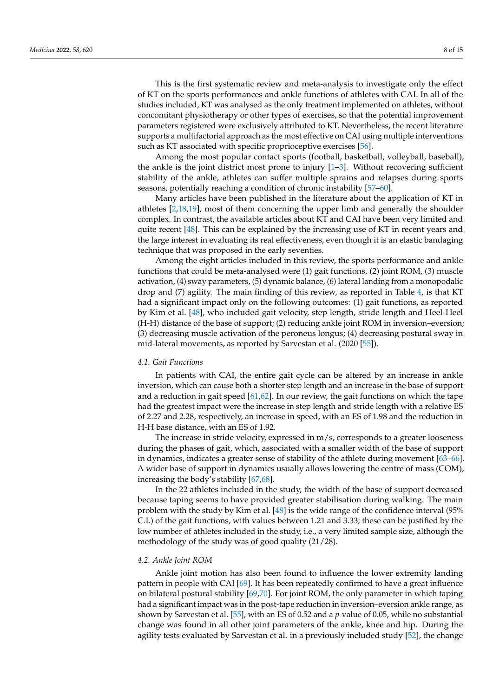This is the first systematic review and meta-analysis to investigate only the effect of KT on the sports performances and ankle functions of athletes with CAI. In all of the studies included, KT was analysed as the only treatment implemented on athletes, without concomitant physiotherapy or other types of exercises, so that the potential improvement parameters registered were exclusively attributed to KT. Nevertheless, the recent literature supports a multifactorial approach as the most effective on CAI using multiple interventions such as KT associated with specific proprioceptive exercises [\[56\]](#page-13-11).

Among the most popular contact sports (football, basketball, volleyball, baseball), the ankle is the joint district most prone to injury  $[1-3]$  $[1-3]$ . Without recovering sufficient stability of the ankle, athletes can suffer multiple sprains and relapses during sports seasons, potentially reaching a condition of chronic instability [\[57–](#page-13-12)[60\]](#page-13-13).

Many articles have been published in the literature about the application of KT in athletes [\[2,](#page-11-12)[18,](#page-12-1)[19\]](#page-12-2), most of them concerning the upper limb and generally the shoulder complex. In contrast, the available articles about KT and CAI have been very limited and quite recent [\[48\]](#page-13-3). This can be explained by the increasing use of KT in recent years and the large interest in evaluating its real effectiveness, even though it is an elastic bandaging technique that was proposed in the early seventies.

Among the eight articles included in this review, the sports performance and ankle functions that could be meta-analysed were (1) gait functions, (2) joint ROM, (3) muscle activation, (4) sway parameters, (5) dynamic balance, (6) lateral landing from a monopodalic drop and (7) agility. The main finding of this review, as reported in Table [4,](#page-6-0) is that KT had a significant impact only on the following outcomes: (1) gait functions, as reported by Kim et al. [\[48\]](#page-13-3), who included gait velocity, step length, stride length and Heel-Heel (H-H) distance of the base of support; (2) reducing ankle joint ROM in inversion–eversion; (3) decreasing muscle activation of the peroneus longus; (4) decreasing postural sway in mid-lateral movements, as reported by Sarvestan et al. (2020 [\[55\]](#page-13-10)).

#### *4.1. Gait Functions*

In patients with CAI, the entire gait cycle can be altered by an increase in ankle inversion, which can cause both a shorter step length and an increase in the base of support and a reduction in gait speed [\[61](#page-13-14)[,62\]](#page-13-15). In our review, the gait functions on which the tape had the greatest impact were the increase in step length and stride length with a relative ES of 2.27 and 2.28, respectively, an increase in speed, with an ES of 1.98 and the reduction in H-H base distance, with an ES of 1.92.

The increase in stride velocity, expressed in m/s, corresponds to a greater looseness during the phases of gait, which, associated with a smaller width of the base of support in dynamics, indicates a greater sense of stability of the athlete during movement [\[63](#page-13-16)[–66\]](#page-13-17). A wider base of support in dynamics usually allows lowering the centre of mass (COM), increasing the body's stability [\[67,](#page-13-18)[68\]](#page-13-19).

In the 22 athletes included in the study, the width of the base of support decreased because taping seems to have provided greater stabilisation during walking. The main problem with the study by Kim et al. [\[48\]](#page-13-3) is the wide range of the confidence interval (95% C.I.) of the gait functions, with values between 1.21 and 3.33; these can be justified by the low number of athletes included in the study, i.e., a very limited sample size, although the methodology of the study was of good quality (21/28).

#### *4.2. Ankle Joint ROM*

Ankle joint motion has also been found to influence the lower extremity landing pattern in people with CAI [\[69\]](#page-13-20). It has been repeatedly confirmed to have a great influence on bilateral postural stability [\[69](#page-13-20)[,70\]](#page-13-21). For joint ROM, the only parameter in which taping had a significant impact was in the post-tape reduction in inversion–eversion ankle range, as shown by Sarvestan et al. [\[55\]](#page-13-10), with an ES of 0.52 and a *p*-value of 0.05, while no substantial change was found in all other joint parameters of the ankle, knee and hip. During the agility tests evaluated by Sarvestan et al. in a previously included study [\[52\]](#page-13-7), the change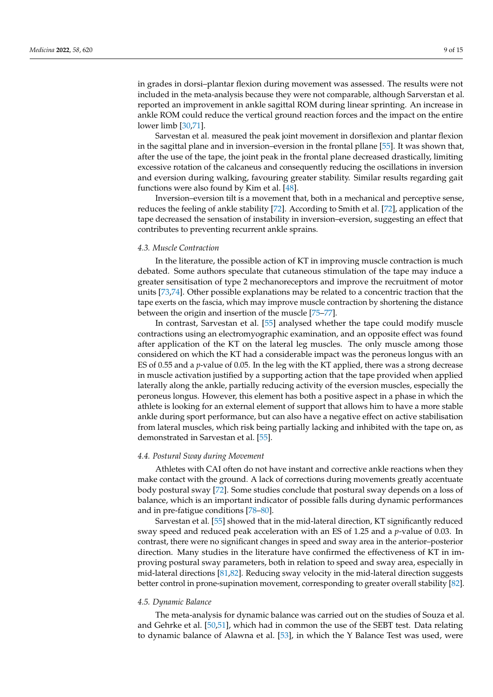in grades in dorsi–plantar flexion during movement was assessed. The results were not included in the meta-analysis because they were not comparable, although Sarverstan et al. reported an improvement in ankle sagittal ROM during linear sprinting. An increase in ankle ROM could reduce the vertical ground reaction forces and the impact on the entire lower limb [\[30,](#page-12-8)[71\]](#page-13-22).

Sarvestan et al. measured the peak joint movement in dorsiflexion and plantar flexion in the sagittal plane and in inversion–eversion in the frontal pllane [\[55\]](#page-13-10). It was shown that, after the use of the tape, the joint peak in the frontal plane decreased drastically, limiting excessive rotation of the calcaneus and consequently reducing the oscillations in inversion and eversion during walking, favouring greater stability. Similar results regarding gait functions were also found by Kim et al. [\[48\]](#page-13-3).

Inversion–eversion tilt is a movement that, both in a mechanical and perceptive sense, reduces the feeling of ankle stability [\[72\]](#page-13-23). According to Smith et al. [\[72\]](#page-13-23), application of the tape decreased the sensation of instability in inversion–eversion, suggesting an effect that contributes to preventing recurrent ankle sprains.

#### *4.3. Muscle Contraction*

In the literature, the possible action of KT in improving muscle contraction is much debated. Some authors speculate that cutaneous stimulation of the tape may induce a greater sensitisation of type 2 mechanoreceptors and improve the recruitment of motor units [\[73,](#page-13-24)[74\]](#page-14-0). Other possible explanations may be related to a concentric traction that the tape exerts on the fascia, which may improve muscle contraction by shortening the distance between the origin and insertion of the muscle [\[75–](#page-14-1)[77\]](#page-14-2).

In contrast, Sarvestan et al. [\[55\]](#page-13-10) analysed whether the tape could modify muscle contractions using an electromyographic examination, and an opposite effect was found after application of the KT on the lateral leg muscles. The only muscle among those considered on which the KT had a considerable impact was the peroneus longus with an ES of 0.55 and a *p*-value of 0.05. In the leg with the KT applied, there was a strong decrease in muscle activation justified by a supporting action that the tape provided when applied laterally along the ankle, partially reducing activity of the eversion muscles, especially the peroneus longus. However, this element has both a positive aspect in a phase in which the athlete is looking for an external element of support that allows him to have a more stable ankle during sport performance, but can also have a negative effect on active stabilisation from lateral muscles, which risk being partially lacking and inhibited with the tape on, as demonstrated in Sarvestan et al. [\[55\]](#page-13-10).

## *4.4. Postural Sway during Movement*

Athletes with CAI often do not have instant and corrective ankle reactions when they make contact with the ground. A lack of corrections during movements greatly accentuate body postural sway [\[72\]](#page-13-23). Some studies conclude that postural sway depends on a loss of balance, which is an important indicator of possible falls during dynamic performances and in pre-fatigue conditions [\[78](#page-14-3)[–80\]](#page-14-4).

Sarvestan et al. [\[55\]](#page-13-10) showed that in the mid-lateral direction, KT significantly reduced sway speed and reduced peak acceleration with an ES of 1.25 and a *p*-value of 0.03. In contrast, there were no significant changes in speed and sway area in the anterior–posterior direction. Many studies in the literature have confirmed the effectiveness of KT in improving postural sway parameters, both in relation to speed and sway area, especially in mid-lateral directions [\[81,](#page-14-5)[82\]](#page-14-6). Reducing sway velocity in the mid-lateral direction suggests better control in prone-supination movement, corresponding to greater overall stability [\[82\]](#page-14-6).

#### *4.5. Dynamic Balance*

The meta-analysis for dynamic balance was carried out on the studies of Souza et al. and Gehrke et al. [\[50](#page-13-5)[,51\]](#page-13-6), which had in common the use of the SEBT test. Data relating to dynamic balance of Alawna et al. [\[53\]](#page-13-8), in which the Y Balance Test was used, were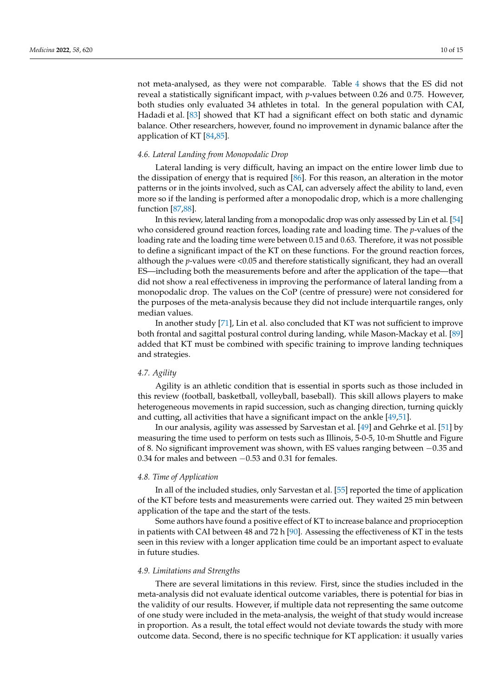not meta-analysed, as they were not comparable. Table [4](#page-6-0) shows that the ES did not reveal a statistically significant impact, with *p*-values between 0.26 and 0.75. However, both studies only evaluated 34 athletes in total. In the general population with CAI, Hadadi et al. [\[83\]](#page-14-7) showed that KT had a significant effect on both static and dynamic balance. Other researchers, however, found no improvement in dynamic balance after the application of KT [\[84](#page-14-8)[,85\]](#page-14-9).

#### *4.6. Lateral Landing from Monopodalic Drop*

Lateral landing is very difficult, having an impact on the entire lower limb due to the dissipation of energy that is required [\[86\]](#page-14-10). For this reason, an alteration in the motor patterns or in the joints involved, such as CAI, can adversely affect the ability to land, even more so if the landing is performed after a monopodalic drop, which is a more challenging function [\[87,](#page-14-11)[88\]](#page-14-12).

In this review, lateral landing from a monopodalic drop was only assessed by Lin et al. [\[54\]](#page-13-9) who considered ground reaction forces, loading rate and loading time. The *p*-values of the loading rate and the loading time were between 0.15 and 0.63. Therefore, it was not possible to define a significant impact of the KT on these functions. For the ground reaction forces, although the *p*-values were <0.05 and therefore statistically significant, they had an overall ES—including both the measurements before and after the application of the tape—that did not show a real effectiveness in improving the performance of lateral landing from a monopodalic drop. The values on the CoP (centre of pressure) were not considered for the purposes of the meta-analysis because they did not include interquartile ranges, only median values.

In another study [\[71\]](#page-13-22), Lin et al. also concluded that KT was not sufficient to improve both frontal and sagittal postural control during landing, while Mason-Mackay et al. [\[89\]](#page-14-13) added that KT must be combined with specific training to improve landing techniques and strategies.

#### *4.7. Agility*

Agility is an athletic condition that is essential in sports such as those included in this review (football, basketball, volleyball, baseball). This skill allows players to make heterogeneous movements in rapid succession, such as changing direction, turning quickly and cutting, all activities that have a significant impact on the ankle [\[49,](#page-13-4)[51\]](#page-13-6).

In our analysis, agility was assessed by Sarvestan et al. [\[49\]](#page-13-4) and Gehrke et al. [\[51\]](#page-13-6) by measuring the time used to perform on tests such as Illinois, 5-0-5, 10-m Shuttle and Figure of 8. No significant improvement was shown, with ES values ranging between −0.35 and 0.34 for males and between −0.53 and 0.31 for females.

# *4.8. Time of Application*

In all of the included studies, only Sarvestan et al. [\[55\]](#page-13-10) reported the time of application of the KT before tests and measurements were carried out. They waited 25 min between application of the tape and the start of the tests.

Some authors have found a positive effect of KT to increase balance and proprioception in patients with CAI between 48 and 72 h [\[90\]](#page-14-14). Assessing the effectiveness of KT in the tests seen in this review with a longer application time could be an important aspect to evaluate in future studies.

#### *4.9. Limitations and Strengths*

There are several limitations in this review. First, since the studies included in the meta-analysis did not evaluate identical outcome variables, there is potential for bias in the validity of our results. However, if multiple data not representing the same outcome of one study were included in the meta-analysis, the weight of that study would increase in proportion. As a result, the total effect would not deviate towards the study with more outcome data. Second, there is no specific technique for KT application: it usually varies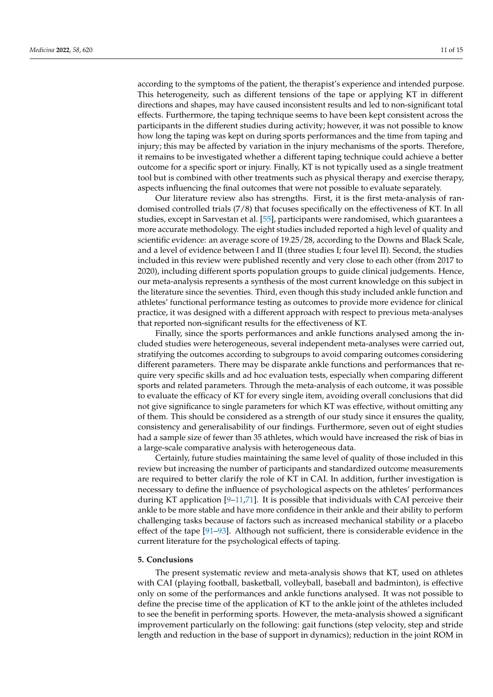according to the symptoms of the patient, the therapist's experience and intended purpose. This heterogeneity, such as different tensions of the tape or applying KT in different directions and shapes, may have caused inconsistent results and led to non-significant total effects. Furthermore, the taping technique seems to have been kept consistent across the participants in the different studies during activity; however, it was not possible to know how long the taping was kept on during sports performances and the time from taping and injury; this may be affected by variation in the injury mechanisms of the sports. Therefore, it remains to be investigated whether a different taping technique could achieve a better outcome for a specific sport or injury. Finally, KT is not typically used as a single treatment tool but is combined with other treatments such as physical therapy and exercise therapy, aspects influencing the final outcomes that were not possible to evaluate separately.

Our literature review also has strengths. First, it is the first meta-analysis of randomised controlled trials (7/8) that focuses specifically on the effectiveness of KT. In all studies, except in Sarvestan et al. [\[55\]](#page-13-10), participants were randomised, which guarantees a more accurate methodology. The eight studies included reported a high level of quality and scientific evidence: an average score of 19.25/28, according to the Downs and Black Scale, and a level of evidence between I and II (three studies I; four level II). Second, the studies included in this review were published recently and very close to each other (from 2017 to 2020), including different sports population groups to guide clinical judgements. Hence, our meta-analysis represents a synthesis of the most current knowledge on this subject in the literature since the seventies. Third, even though this study included ankle function and athletes' functional performance testing as outcomes to provide more evidence for clinical practice, it was designed with a different approach with respect to previous meta-analyses that reported non-significant results for the effectiveness of KT.

Finally, since the sports performances and ankle functions analysed among the included studies were heterogeneous, several independent meta-analyses were carried out, stratifying the outcomes according to subgroups to avoid comparing outcomes considering different parameters. There may be disparate ankle functions and performances that require very specific skills and ad hoc evaluation tests, especially when comparing different sports and related parameters. Through the meta-analysis of each outcome, it was possible to evaluate the efficacy of KT for every single item, avoiding overall conclusions that did not give significance to single parameters for which KT was effective, without omitting any of them. This should be considered as a strength of our study since it ensures the quality, consistency and generalisability of our findings. Furthermore, seven out of eight studies had a sample size of fewer than 35 athletes, which would have increased the risk of bias in a large-scale comparative analysis with heterogeneous data.

Certainly, future studies maintaining the same level of quality of those included in this review but increasing the number of participants and standardized outcome measurements are required to better clarify the role of KT in CAI. In addition, further investigation is necessary to define the influence of psychological aspects on the athletes' performances during KT application  $[9-11,71]$  $[9-11,71]$  $[9-11,71]$ . It is possible that individuals with CAI perceive their ankle to be more stable and have more confidence in their ankle and their ability to perform challenging tasks because of factors such as increased mechanical stability or a placebo effect of the tape [\[91](#page-14-15)[–93\]](#page-14-16). Although not sufficient, there is considerable evidence in the current literature for the psychological effects of taping.

#### **5. Conclusions**

The present systematic review and meta-analysis shows that KT, used on athletes with CAI (playing football, basketball, volleyball, baseball and badminton), is effective only on some of the performances and ankle functions analysed. It was not possible to define the precise time of the application of KT to the ankle joint of the athletes included to see the benefit in performing sports. However, the meta-analysis showed a significant improvement particularly on the following: gait functions (step velocity, step and stride length and reduction in the base of support in dynamics); reduction in the joint ROM in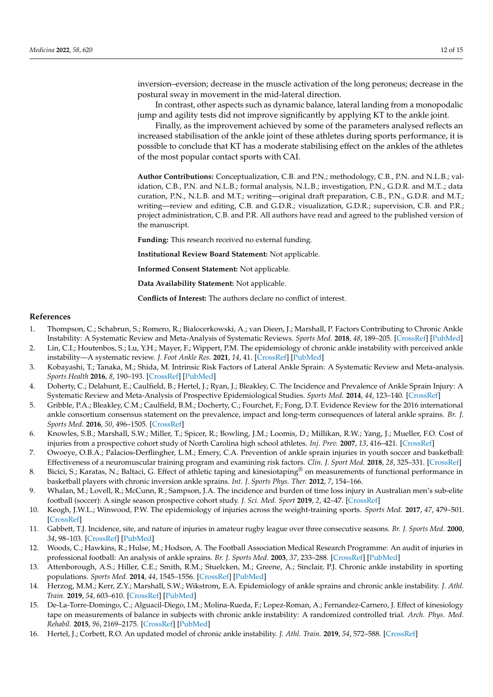inversion–eversion; decrease in the muscle activation of the long peroneus; decrease in the postural sway in movement in the mid-lateral direction.

In contrast, other aspects such as dynamic balance, lateral landing from a monopodalic jump and agility tests did not improve significantly by applying KT to the ankle joint.

Finally, as the improvement achieved by some of the parameters analysed reflects an increased stabilisation of the ankle joint of these athletes during sports performance, it is possible to conclude that KT has a moderate stabilising effect on the ankles of the athletes of the most popular contact sports with CAI.

**Author Contributions:** Conceptualization, C.B. and P.N.; methodology, C.B., P.N. and N.L.B.; validation, C.B., P.N. and N.L.B.; formal analysis, N.L.B.; investigation, P.N., G.D.R. and M.T..; data curation, P.N., N.L.B. and M.T.; writing—original draft preparation, C.B., P.N., G.D.R. and M.T.; writing—review and editing, C.B. and G.D.R.; visualization, G.D.R.; supervision, C.B. and P.R.; project administration, C.B. and P.R. All authors have read and agreed to the published version of the manuscript.

**Funding:** This research received no external funding.

**Institutional Review Board Statement:** Not applicable.

**Informed Consent Statement:** Not applicable.

**Data Availability Statement:** Not applicable.

**Conflicts of Interest:** The authors declare no conflict of interest.

#### **References**

- <span id="page-11-0"></span>1. Thompson, C.; Schabrun, S.; Romero, R.; Bialocerkowski, A.; van Dieen, J.; Marshall, P. Factors Contributing to Chronic Ankle Instability: A Systematic Review and Meta-Analysis of Systematic Reviews. *Sports Med.* **2018**, *48*, 189–205. [\[CrossRef\]](http://doi.org/10.1007/s40279-017-0781-4) [\[PubMed\]](http://www.ncbi.nlm.nih.gov/pubmed/28887759)
- <span id="page-11-12"></span>2. Lin, C.I.; Houtenbos, S.; Lu, Y.H.; Mayer, F.; Wippert, P.M. The epidemiology of chronic ankle instability with perceived ankle instability—A systematic review. *J. Foot Ankle Res.* **2021**, *14*, 41. [\[CrossRef\]](http://doi.org/10.1186/s13047-021-00480-w) [\[PubMed\]](http://www.ncbi.nlm.nih.gov/pubmed/34049565)
- <span id="page-11-1"></span>3. Kobayashi, T.; Tanaka, M.; Shida, M. Intrinsic Risk Factors of Lateral Ankle Sprain: A Systematic Review and Meta-analysis. *Sports Health* **2016**, *8*, 190–193. [\[CrossRef\]](http://doi.org/10.1177/1941738115623775) [\[PubMed\]](http://www.ncbi.nlm.nih.gov/pubmed/26711693)
- <span id="page-11-2"></span>4. Doherty, C.; Delahunt, E.; Caulfield, B.; Hertel, J.; Ryan, J.; Bleakley, C. The Incidence and Prevalence of Ankle Sprain Injury: A Systematic Review and Meta-Analysis of Prospective Epidemiological Studies. *Sports Med.* **2014**, *44*, 123–140. [\[CrossRef\]](http://doi.org/10.1007/s40279-013-0102-5)
- <span id="page-11-3"></span>5. Gribble, P.A.; Bleakley, C.M.; Caulfield, B.M.; Docherty, C.; Fourchet, F.; Fong, D.T. Evidence Review for the 2016 international ankle consortium consensus statement on the prevalence, impact and long-term consequences of lateral ankle sprains. *Br. J. Sports Med.* **2016**, *50*, 496–1505. [\[CrossRef\]](http://doi.org/10.1136/bjsports-2016-096189)
- <span id="page-11-4"></span>6. Knowles, S.B.; Marshall, S.W.; Miller, T.; Spicer, R.; Bowling, J.M.; Loomis, D.; Millikan, R.W.; Yang, J.; Mueller, F.O. Cost of injuries from a prospective cohort study of North Carolina high school athletes. *Inj. Prev.* **2007**, *13*, 416–421. [\[CrossRef\]](http://doi.org/10.1136/ip.2006.014720)
- <span id="page-11-5"></span>7. Owoeye, O.B.A.; Palacios-Derflingher, L.M.; Emery, C.A. Prevention of ankle sprain injuries in youth soccer and basketball: Effectiveness of a neuromuscular training program and examining risk factors. *Clin. J. Sport Med.* **2018**, *28*, 325–331. [\[CrossRef\]](http://doi.org/10.1097/JSM.0000000000000462)
- <span id="page-11-6"></span>8. Bicici, S.; Karatas, N.; Baltaci, G. Effect of athletic taping and kinesiotaping<sup>®</sup> on measurements of functional performance in basketball players with chronic inversion ankle sprains. *Int. J. Sports Phys. Ther.* **2012**, *7*, 154–166.
- <span id="page-11-7"></span>9. Whalan, M.; Lovell, R.; McCunn, R.; Sampson, J.A. The incidence and burden of time loss injury in Australian men's sub-elite football (soccer): A single season prospective cohort study. *J. Sci. Med. Sport* **2019**, *2*, 42–47. [\[CrossRef\]](http://doi.org/10.1016/j.jsams.2018.05.024)
- 10. Keogh, J.W.L.; Winwood, P.W. The epidemiology of injuries across the weight-training sports. *Sports Med.* **2017**, *47*, 479–501. [\[CrossRef\]](http://doi.org/10.1007/s40279-016-0575-0)
- <span id="page-11-13"></span>11. Gabbett, T.J. Incidence, site, and nature of injuries in amateur rugby league over three consecutive seasons. *Br. J. Sports Med.* **2000**, *34*, 98–103. [\[CrossRef\]](http://doi.org/10.1136/bjsm.34.2.98) [\[PubMed\]](http://www.ncbi.nlm.nih.gov/pubmed/10786864)
- <span id="page-11-8"></span>12. Woods, C.; Hawkins, R.; Hulse, M.; Hodson, A. The Football Association Medical Research Programme: An audit of injuries in professional football: An analysis of ankle sprains. *Br. J. Sports Med.* **2003**, *37*, 233–288. [\[CrossRef\]](http://doi.org/10.1136/bjsm.37.3.233) [\[PubMed\]](http://www.ncbi.nlm.nih.gov/pubmed/12782548)
- <span id="page-11-9"></span>13. Attenborough, A.S.; Hiller, C.E.; Smith, R.M.; Stuelcken, M.; Greene, A.; Sinclair, P.J. Chronic ankle instability in sporting populations. *Sports Med.* **2014**, *44*, 1545–1556. [\[CrossRef\]](http://doi.org/10.1007/s40279-014-0218-2) [\[PubMed\]](http://www.ncbi.nlm.nih.gov/pubmed/24981244)
- 14. Herzog, M.M.; Kerr, Z.Y.; Marshall, S.W.; Wikstrom, E.A. Epidemiology of ankle sprains and chronic ankle instability. *J. Athl. Train.* **2019**, *54*, 603–610. [\[CrossRef\]](http://doi.org/10.4085/1062-6050-447-17) [\[PubMed\]](http://www.ncbi.nlm.nih.gov/pubmed/31135209)
- <span id="page-11-10"></span>15. De-La-Torre-Domingo, C.; Alguacil-Diego, I.M.; Molina-Rueda, F.; Lopez-Roman, A.; Fernandez-Carnero, J. Effect of kinesiology tape on measurements of balance in subjects with chronic ankle instability: A randomized controlled trial. *Arch. Phys. Med. Rehabil.* **2015**, *96*, 2169–2175. [\[CrossRef\]](http://doi.org/10.1016/j.apmr.2015.06.022) [\[PubMed\]](http://www.ncbi.nlm.nih.gov/pubmed/26360974)
- <span id="page-11-11"></span>16. Hertel, J.; Corbett, R.O. An updated model of chronic ankle instability. *J. Athl. Train.* **2019**, *54*, 572–588. [\[CrossRef\]](http://doi.org/10.4085/1062-6050-344-18)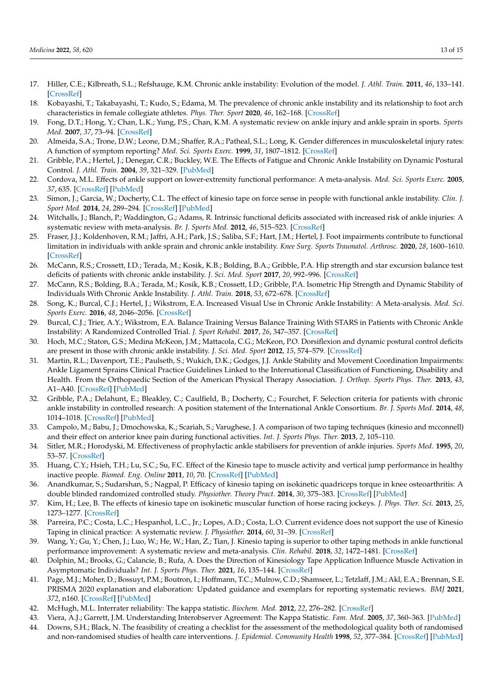- <span id="page-12-0"></span>17. Hiller, C.E.; Kilbreath, S.L.; Refshauge, K.M. Chronic ankle instability: Evolution of the model. *J. Athl. Train.* **2011**, *46*, 133–141. [\[CrossRef\]](http://doi.org/10.4085/1062-6050-46.2.133)
- <span id="page-12-1"></span>18. Kobayashi, T.; Takabayashi, T.; Kudo, S.; Edama, M. The prevalence of chronic ankle instability and its relationship to foot arch characteristics in female collegiate athletes. *Phys. Ther. Sport* **2020**, *46*, 162–168. [\[CrossRef\]](http://doi.org/10.1016/j.ptsp.2020.09.002)
- <span id="page-12-2"></span>19. Fong, D.T.; Hong, Y.; Chan, L.K.; Yung, P.S.; Chan, K.M. A systematic review on ankle injury and ankle sprain in sports. *Sports Med.* **2007**, *37*, 73–94. [\[CrossRef\]](http://doi.org/10.2165/00007256-200737010-00006)
- <span id="page-12-3"></span>20. Almeida, S.A.; Trone, D.W.; Leone, D.M.; Shaffer, R.A.; Patheal, S.L.; Long, K. Gender differences in musculoskeletal injury rates: A function of symptom reporting? *Med. Sci. Sports Exerc.* **1999**, *31*, 1807–1812. [\[CrossRef\]](http://doi.org/10.1097/00005768-199912000-00017)
- <span id="page-12-4"></span>21. Gribble, P.A.; Hertel, J.; Denegar, C.R.; Buckley, W.E. The Effects of Fatigue and Chronic Ankle Instability on Dynamic Postural Control. *J. Athl. Train.* **2004**, *39*, 321–329. [\[PubMed\]](http://www.ncbi.nlm.nih.gov/pubmed/15592604)
- 22. Cordova, M.L. Effects of ankle support on lower-extremity functional performance: A meta-analysis. *Med. Sci. Sports Exerc.* **2005**, *37*, 635. [\[CrossRef\]](http://doi.org/10.1249/01.MSS.0000159141.78989.9C) [\[PubMed\]](http://www.ncbi.nlm.nih.gov/pubmed/15809563)
- <span id="page-12-5"></span>23. Simon, J.; Garcia, W.; Docherty, C.L. The effect of kinesio tape on force sense in people with functional ankle instability. *Clin. J. Sport Med.* **2014**, *24*, 289–294. [\[CrossRef\]](http://doi.org/10.1097/JSM.0000000000000030) [\[PubMed\]](http://www.ncbi.nlm.nih.gov/pubmed/24184853)
- <span id="page-12-6"></span>24. Witchalls, J.; Blanch, P.; Waddington, G.; Adams, R. Intrinsic functional deficits associated with increased risk of ankle injuries: A systematic review with meta-analysis. *Br. J. Sports Med.* **2012**, *46*, 515–523. [\[CrossRef\]](http://doi.org/10.1136/bjsports-2011-090137)
- <span id="page-12-7"></span>25. Fraser, J.J.; Koldenhoven, R.M.; Jaffri, A.H.; Park, J.S.; Saliba, S.F.; Hart, J.M.; Hertel, J. Foot impairments contribute to functional limitation in individuals with ankle sprain and chronic ankle instability. *Knee Surg. Sports Traumatol. Arthrosc.* **2020**, *28*, 1600–1610. [\[CrossRef\]](http://doi.org/10.1007/s00167-018-5028-x)
- 26. McCann, R.S.; Crossett, I.D.; Terada, M.; Kosik, K.B.; Bolding, B.A.; Gribble, P.A. Hip strength and star excursion balance test deficits of patients with chronic ankle instability. *J. Sci. Med. Sport* **2017**, *20*, 992–996. [\[CrossRef\]](http://doi.org/10.1016/j.jsams.2017.05.005)
- 27. McCann, R.S.; Bolding, B.A.; Terada, M.; Kosik, K.B.; Crossett, I.D.; Gribble, P.A. Isometric Hip Strength and Dynamic Stability of Individuals With Chronic Ankle Instability. *J. Athl. Train.* **2018**, *53*, 672–678. [\[CrossRef\]](http://doi.org/10.4085/1062-6050-238-17)
- 28. Song, K.; Burcal, C.J.; Hertel, J.; Wikstrom, E.A. Increased Visual Use in Chronic Ankle Instability: A Meta-analysis. *Med. Sci. Sports Exerc.* **2016**, *48*, 2046–2056. [\[CrossRef\]](http://doi.org/10.1249/MSS.0000000000000992)
- 29. Burcal, C.J.; Trier, A.Y.; Wikstrom, E.A. Balance Training Versus Balance Training With STARS in Patients with Chronic Ankle Instability: A Randomized Controlled Trial. *J. Sport Rehabil.* **2017**, *26*, 347–357. [\[CrossRef\]](http://doi.org/10.1123/jsr.2016-0018)
- <span id="page-12-8"></span>30. Hoch, M.C.; Staton, G.S.; Medina McKeon, J.M.; Mattacola, C.G.; McKeon, P.O. Dorsiflexion and dynamic postural control deficits are present in those with chronic ankle instability. *J. Sci. Med. Sport* **2012**, *15*, 574–579. [\[CrossRef\]](http://doi.org/10.1016/j.jsams.2012.02.009)
- <span id="page-12-9"></span>31. Martin, R.L.; Davenport, T.E.; Paulseth, S.; Wukich, D.K.; Godges, J.J. Ankle Stability and Movement Coordination Impairments: Ankle Ligament Sprains Clinical Practice Guidelines Linked to the International Classification of Functioning, Disability and Health. From the Orthopaedic Section of the American Physical Therapy Association. *J. Orthop. Sports Phys. Ther.* **2013**, *43*, A1–A40. [\[CrossRef\]](http://doi.org/10.2519/jospt.2013.0305) [\[PubMed\]](http://www.ncbi.nlm.nih.gov/pubmed/24313720)
- <span id="page-12-10"></span>32. Gribble, P.A.; Delahunt, E.; Bleakley, C.; Caulfield, B.; Docherty, C.; Fourchet, F. Selection criteria for patients with chronic ankle instability in controlled research: A position statement of the International Ankle Consortium. *Br. J. Sports Med.* **2014**, *48*, 1014–1018. [\[CrossRef\]](http://doi.org/10.1136/bjsports-2013-093175) [\[PubMed\]](http://www.ncbi.nlm.nih.gov/pubmed/24255768)
- <span id="page-12-11"></span>33. Campolo, M.; Babu, J.; Dmochowska, K.; Scariah, S.; Varughese, J. A comparison of two taping techniques (kinesio and mcconnell) and their effect on anterior knee pain during functional activities. *Int. J. Sports Phys. Ther.* **2013**, *2*, 105–110.
- <span id="page-12-12"></span>34. Sitler, M.R.; Horodyski, M. Effectiveness of prophylactic ankle stabilisers for prevention of ankle injuries. *Sports Med.* **1995**, *20*, 53–57. [\[CrossRef\]](http://doi.org/10.2165/00007256-199520010-00005)
- <span id="page-12-13"></span>35. Huang, C.Y.; Hsieh, T.H.; Lu, S.C.; Su, F.C. Effect of the Kinesio tape to muscle activity and vertical jump performance in healthy inactive people. *Biomed. Eng. Online* **2011**, *10*, 70. [\[CrossRef\]](http://doi.org/10.1186/1475-925X-10-70) [\[PubMed\]](http://www.ncbi.nlm.nih.gov/pubmed/21831321)
- <span id="page-12-14"></span>36. Anandkumar, S.; Sudarshan, S.; Nagpal, P. Efficacy of kinesio taping on isokinetic quadriceps torque in knee osteoarthritis: A double blinded randomized controlled study. *Physiother. Theory Pract.* **2014**, *30*, 375–383. [\[CrossRef\]](http://doi.org/10.3109/09593985.2014.896963) [\[PubMed\]](http://www.ncbi.nlm.nih.gov/pubmed/24617598)
- <span id="page-12-15"></span>37. Kim, H.; Lee, B. The effects of kinesio tape on isokinetic muscular function of horse racing jockeys. *J. Phys. Ther. Sci.* **2013**, *25*, 1273–1277. [\[CrossRef\]](http://doi.org/10.1589/jpts.25.1273)
- <span id="page-12-16"></span>38. Parreira, P.C.; Costa, L.C.; Hespanhol, L.C., Jr.; Lopes, A.D.; Costa, L.O. Current evidence does not support the use of Kinesio Taping in clinical practice: A systematic review. *J. Physiother.* **2014**, *60*, 31–39. [\[CrossRef\]](http://doi.org/10.1016/j.jphys.2013.12.008)
- 39. Wang, Y.; Gu, Y.; Chen, J.; Luo, W.; He, W.; Han, Z.; Tian, J. Kinesio taping is superior to other taping methods in ankle functional performance improvement: A systematic review and meta-analysis. *Clin. Rehabil.* **2018**, *32*, 1472–1481. [\[CrossRef\]](http://doi.org/10.1177/0269215518780443)
- <span id="page-12-17"></span>40. Dolphin, M.; Brooks, G.; Calancie, B.; Rufa, A. Does the Direction of Kinesiology Tape Application Influence Muscle Activation in Asymptomatic Individuals? *Int. J. Sports Phys. Ther.* **2021**, *16*, 135–144. [\[CrossRef\]](http://doi.org/10.26603/001c.18799)
- <span id="page-12-18"></span>41. Page, M.J.; Moher, D.; Bossuyt, P.M.; Boutron, I.; Hoffmann, T.C.; Mulrow, C.D.; Shamseer, L.; Tetzlaff, J.M.; Akl, E.A.; Brennan, S.E. PRISMA 2020 explanation and elaboration: Updated guidance and exemplars for reporting systematic reviews. *BMJ* **2021**, *372*, n160. [\[CrossRef\]](http://doi.org/10.1136/bmj.n160) [\[PubMed\]](http://www.ncbi.nlm.nih.gov/pubmed/33781993)
- <span id="page-12-19"></span>42. McHugh, M.L. Interrater reliability: The kappa statistic. *Biochem. Med.* **2012**, *22*, 276–282. [\[CrossRef\]](http://doi.org/10.11613/BM.2012.031)
- <span id="page-12-20"></span>43. Viera, A.J.; Garrett, J.M. Understanding Interobserver Agreement: The Kappa Statistic. *Fam. Med.* **2005**, *37*, 360–363. [\[PubMed\]](http://www.ncbi.nlm.nih.gov/pubmed/15883903)
- <span id="page-12-21"></span>44. Downs, S.H.; Black, N. The feasibility of creating a checklist for the assessment of the methodological quality both of randomised and non-randomised studies of health care interventions. *J. Epidemiol. Community Health* **1998**, *52*, 377–384. [\[CrossRef\]](http://doi.org/10.1136/jech.52.6.377) [\[PubMed\]](http://www.ncbi.nlm.nih.gov/pubmed/9764259)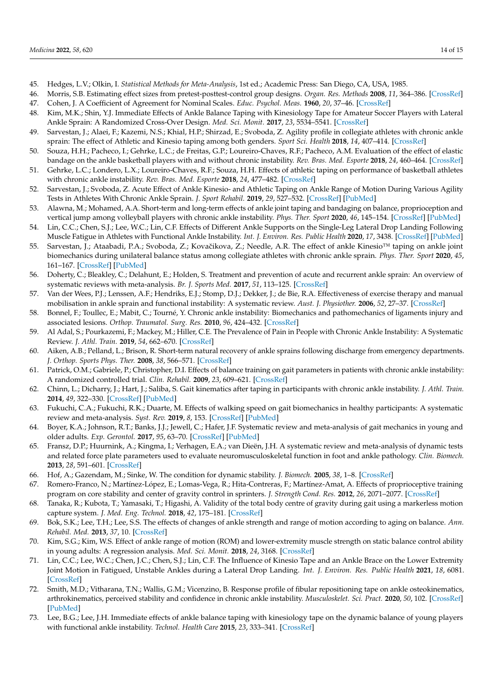- <span id="page-13-0"></span>45. Hedges, L.V.; Olkin, I. *Statistical Methods for Meta-Analysis*, 1st ed.; Academic Press: San Diego, CA, USA, 1985.
- <span id="page-13-1"></span>46. Morris, S.B. Estimating effect sizes from pretest-posttest-control group designs. *Organ. Res. Methods* **2008**, *11*, 364–386. [\[CrossRef\]](http://doi.org/10.1177/1094428106291059)
- <span id="page-13-2"></span>47. Cohen, J. A Coefficient of Agreement for Nominal Scales. *Educ. Psychol. Meas.* **1960**, *20*, 37–46. [\[CrossRef\]](http://doi.org/10.1177/001316446002000104)
- <span id="page-13-3"></span>48. Kim, M.K.; Shin, Y.J. Immediate Effects of Ankle Balance Taping with Kinesiology Tape for Amateur Soccer Players with Lateral Ankle Sprain: A Randomized Cross-Over Design. *Med. Sci. Monit.* **2017**, *23*, 5534–5541. [\[CrossRef\]](http://doi.org/10.12659/MSM.905385)
- <span id="page-13-4"></span>49. Sarvestan, J.; Alaei, F.; Kazemi, N.S.; Khial, H.P.; Shirzad, E.; Svoboda, Z. Agility profile in collegiate athletes with chronic ankle sprain: The effect of Athletic and Kinesio taping among both genders. *Sport Sci. Health* **2018**, *14*, 407–414. [\[CrossRef\]](http://doi.org/10.1007/s11332-018-0453-2)
- <span id="page-13-5"></span>50. Souza, H.H.; Pacheco, I.; Gehrke, L.C.; de Freitas, G.P.; Loureiro-Chaves, R.F.; Pacheco, A.M. Evaluation of the effect of elastic bandage on the ankle basketball players with and without chronic instability. *Rev. Bras. Med. Esporte* **2018**, *24*, 460–464. [\[CrossRef\]](http://doi.org/10.1590/1517-869220182406173600)
- <span id="page-13-6"></span>51. Gehrke, L.C.; Londero, L.X.; Loureiro-Chaves, R.F.; Souza, H.H. Effects of athletic taping on performance of basketball athletes with chronic ankle instability. *Rev. Bras. Med. Esporte* **2018**, *24*, 477–482. [\[CrossRef\]](http://doi.org/10.1590/1517-869220182406173311)
- <span id="page-13-7"></span>52. Sarvestan, J.; Svoboda, Z. Acute Effect of Ankle Kinesio- and Athletic Taping on Ankle Range of Motion During Various Agility Tests in Athletes With Chronic Ankle Sprain. *J. Sport Rehabil.* **2019**, *29*, 527–532. [\[CrossRef\]](http://doi.org/10.1123/jsr.2018-0398) [\[PubMed\]](http://www.ncbi.nlm.nih.gov/pubmed/31034326)
- <span id="page-13-8"></span>53. Alawna, M.; Mohamed, A.A. Short-term and long-term effects of ankle joint taping and bandaging on balance, proprioception and vertical jump among volleyball players with chronic ankle instability. *Phys. Ther. Sport* **2020**, *46*, 145–154. [\[CrossRef\]](http://doi.org/10.1016/j.ptsp.2020.08.015) [\[PubMed\]](http://www.ncbi.nlm.nih.gov/pubmed/32937273)
- <span id="page-13-9"></span>54. Lin, C.C.; Chen, S.J.; Lee, W.C.; Lin, C.F. Effects of Different Ankle Supports on the Single-Leg Lateral Drop Landing Following Muscle Fatigue in Athletes with Functional Ankle Instability. *Int. J. Environ. Res. Public Health* **2020**, *17*, 3438. [\[CrossRef\]](http://doi.org/10.3390/ijerph17103438) [\[PubMed\]](http://www.ncbi.nlm.nih.gov/pubmed/32423151)
- <span id="page-13-10"></span>55. Sarvestan, J.; Ataabadi, P.A.; Svoboda, Z.; Kovačikova, Z.; Needle, A.R. The effect of ankle Kinesio™ taping on ankle joint biomechanics during unilateral balance status among collegiate athletes with chronic ankle sprain. *Phys. Ther. Sport* **2020**, *45*, 161–167. [\[CrossRef\]](http://doi.org/10.1016/j.ptsp.2020.06.007) [\[PubMed\]](http://www.ncbi.nlm.nih.gov/pubmed/32781269)
- <span id="page-13-11"></span>56. Doherty, C.; Bleakley, C.; Delahunt, E.; Holden, S. Treatment and prevention of acute and recurrent ankle sprain: An overview of systematic reviews with meta-analysis. *Br. J. Sports Med.* **2017**, *51*, 113–125. [\[CrossRef\]](http://doi.org/10.1136/bjsports-2016-096178)
- <span id="page-13-12"></span>57. Van der Wees, P.J.; Lenssen, A.F.; Hendriks, E.J.; Stomp, D.J.; Dekker, J.; de Bie, R.A. Effectiveness of exercise therapy and manual mobilisation in ankle sprain and functional instability: A systematic review. *Aust. J. Physiother.* **2006**, *52*, 27–37. [\[CrossRef\]](http://doi.org/10.1016/S0004-9514(06)70059-9)
- 58. Bonnel, F.; Toullec, E.; Mabit, C.; Tourné, Y. Chronic ankle instability: Biomechanics and pathomechanics of ligaments injury and associated lesions. *Orthop. Traumatol. Surg. Res.* **2010**, *96*, 424–432. [\[CrossRef\]](http://doi.org/10.1016/j.otsr.2010.04.003)
- 59. Al Adal, S.; Pourkazemi, F.; Mackey, M.; Hiller, C.E. The Prevalence of Pain in People with Chronic Ankle Instability: A Systematic Review. *J. Athl. Train.* **2019**, *54*, 662–670. [\[CrossRef\]](http://doi.org/10.4085/1062-6050-531-17)
- <span id="page-13-13"></span>60. Aiken, A.B.; Pelland, L.; Brison, R. Short-term natural recovery of ankle sprains following discharge from emergency departments. *J. Orthop. Sports Phys. Ther.* **2008**, *38*, 566–571. [\[CrossRef\]](http://doi.org/10.2519/jospt.2008.2811)
- <span id="page-13-14"></span>61. Patrick, O.M.; Gabriele, P.; Christopher, D.I. Effects of balance training on gait parameters in patients with chronic ankle instability: A randomized controlled trial. *Clin. Rehabil.* **2009**, *23*, 609–621. [\[CrossRef\]](http://doi.org/10.1177/0269215509102954)
- <span id="page-13-15"></span>62. Chinn, L.; Dicharry, J.; Hart, J.; Saliba, S. Gait kinematics after taping in participants with chronic ankle instability. *J. Athl. Train.* **2014**, *49*, 322–330. [\[CrossRef\]](http://doi.org/10.4085/1062-6050-49.3.08) [\[PubMed\]](http://www.ncbi.nlm.nih.gov/pubmed/24840583)
- <span id="page-13-16"></span>63. Fukuchi, C.A.; Fukuchi, R.K.; Duarte, M. Effects of walking speed on gait biomechanics in healthy participants: A systematic review and meta-analysis. *Syst. Rev.* **2019**, *8*, 153. [\[CrossRef\]](http://doi.org/10.1186/s13643-019-1063-z) [\[PubMed\]](http://www.ncbi.nlm.nih.gov/pubmed/31248456)
- 64. Boyer, K.A.; Johnson, R.T.; Banks, J.J.; Jewell, C.; Hafer, J.F. Systematic review and meta-analysis of gait mechanics in young and older adults. *Exp. Gerontol.* **2017**, *95*, 63–70. [\[CrossRef\]](http://doi.org/10.1016/j.exger.2017.05.005) [\[PubMed\]](http://www.ncbi.nlm.nih.gov/pubmed/28499954)
- 65. Fransz, D.P.; Huurnink, A.; Kingma, I.; Verhagen, E.A.; van Dieën, J.H. A systematic review and meta-analysis of dynamic tests and related force plate parameters used to evaluate neuromusculoskeletal function in foot and ankle pathology. *Clin. Biomech.* **2013**, *28*, 591–601. [\[CrossRef\]](http://doi.org/10.1016/j.clinbiomech.2013.06.002)
- <span id="page-13-17"></span>66. Hof, A.; Gazendam, M.; Sinke, W. The condition for dynamic stability. *J. Biomech.* **2005**, *38*, 1–8. [\[CrossRef\]](http://doi.org/10.1016/j.jbiomech.2004.03.025)
- <span id="page-13-18"></span>67. Romero-Franco, N.; Martínez-López, E.; Lomas-Vega, R.; Hita-Contreras, F.; Martínez-Amat, A. Effects of proprioceptive training program on core stability and center of gravity control in sprinters. *J. Strength Cond. Res.* **2012**, *26*, 2071–2077. [\[CrossRef\]](http://doi.org/10.1519/JSC.0b013e31823b06e6)
- <span id="page-13-19"></span>68. Tanaka, R.; Kubota, T.; Yamasaki, T.; Higashi, A. Validity of the total body centre of gravity during gait using a markerless motion capture system. *J. Med. Eng. Technol.* **2018**, *42*, 175–181. [\[CrossRef\]](http://doi.org/10.1080/03091902.2018.1449909)
- <span id="page-13-20"></span>69. Bok, S.K.; Lee, T.H.; Lee, S.S. The effects of changes of ankle strength and range of motion according to aging on balance. *Ann. Rehabil. Med.* **2013**, *37*, 10. [\[CrossRef\]](http://doi.org/10.5535/arm.2013.37.1.10)
- <span id="page-13-21"></span>70. Kim, S.G.; Kim, W.S. Effect of ankle range of motion (ROM) and lower-extremity muscle strength on static balance control ability in young adults: A regression analysis. *Med. Sci. Monit.* **2018**, *24*, 3168. [\[CrossRef\]](http://doi.org/10.12659/MSM.908260)
- <span id="page-13-22"></span>71. Lin, C.C.; Lee, W.C.; Chen, J.C.; Chen, S.J.; Lin, C.F. The Influence of Kinesio Tape and an Ankle Brace on the Lower Extremity Joint Motion in Fatigued, Unstable Ankles during a Lateral Drop Landing. *Int. J. Environ. Res. Public Health* **2021**, *18*, 6081. [\[CrossRef\]](http://doi.org/10.3390/ijerph18116081)
- <span id="page-13-23"></span>72. Smith, M.D.; Vitharana, T.N.; Wallis, G.M.; Vicenzino, B. Response profile of fibular repositioning tape on ankle osteokinematics, arthrokinematics, perceived stability and confidence in chronic ankle instability. *Musculoskelet. Sci. Pract.* **2020**, *50*, 102. [\[CrossRef\]](http://doi.org/10.1016/j.msksp.2020.102272) [\[PubMed\]](http://www.ncbi.nlm.nih.gov/pubmed/33096505)
- <span id="page-13-24"></span>73. Lee, B.G.; Lee, J.H. Immediate effects of ankle balance taping with kinesiology tape on the dynamic balance of young players with functional ankle instability. *Technol. Health Care* **2015**, *23*, 333–341. [\[CrossRef\]](http://doi.org/10.3233/THC-150902)